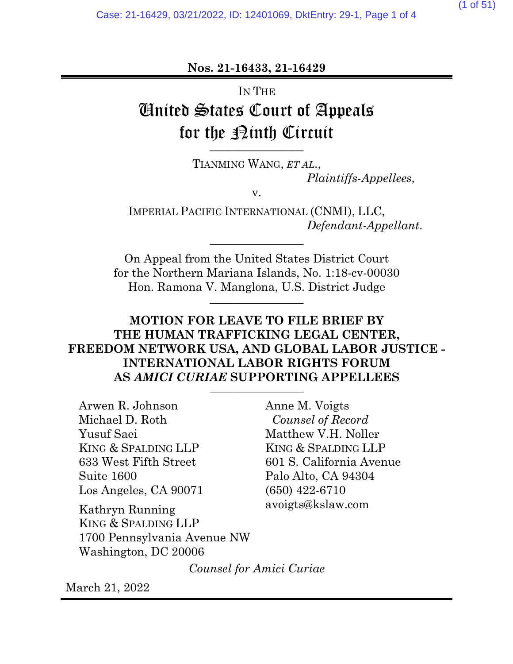**Nos. 21-16433, 21-16429**

# IN THE United States Court of Appeals for the **Pinth** Circuit

TIANMING WANG, *ET AL*., *Plaintiffs-Appellees*,

v.

IMPERIAL PACIFIC INTERNATIONAL (CNMI), LLC, *Defendant-Appellant*.

On Appeal from the United States District Court for the Northern Mariana Islands, No. 1:18-cv-00030 Hon. Ramona V. Manglona, U.S. District Judge **\_\_\_\_\_\_\_\_\_\_\_\_\_\_\_\_**

\_\_\_\_\_\_\_\_\_\_\_\_\_\_\_\_

# **MOTION FOR LEAVE TO FILE BRIEF BY THE HUMAN TRAFFICKING LEGAL CENTER, FREEDOM NETWORK USA, AND GLOBAL LABOR JUSTICE - INTERNATIONAL LABOR RIGHTS FORUM AS** *AMICI CURIAE* **SUPPORTING APPELLEES** \_\_\_\_\_\_\_\_\_\_\_\_\_\_\_\_

Arwen R. Johnson Michael D. Roth Yusuf Saei KING & SPALDING LLP 633 West Fifth Street Suite 1600 Los Angeles, CA 90071

Kathryn Running KING & SPALDING LLP 1700 Pennsylvania Avenue NW Washington, DC 20006

Anne M. Voigts *Counsel of Record* Matthew V.H. Noller KING & SPALDING LLP 601 S. California Avenue Palo Alto, CA 94304 (650) 422-6710 avoigts@kslaw.com

*Counsel for Amici Curiae*

March 21, 2022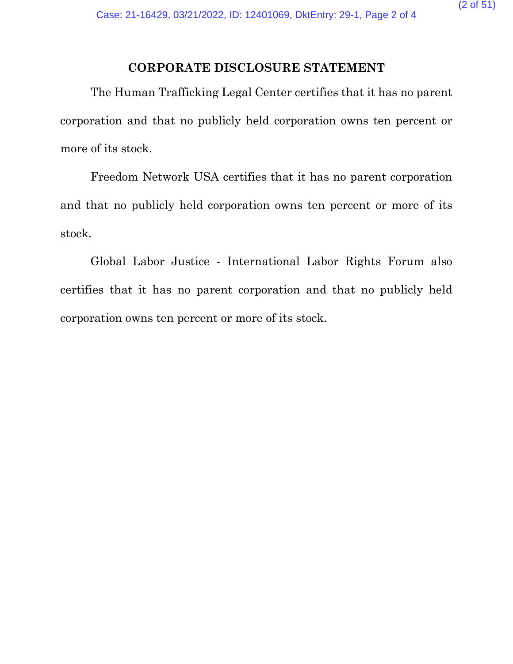## **CORPORATE DISCLOSURE STATEMENT**

The Human Trafficking Legal Center certifies that it has no parent corporation and that no publicly held corporation owns ten percent or more of its stock.

Freedom Network USA certifies that it has no parent corporation and that no publicly held corporation owns ten percent or more of its stock.

Global Labor Justice - International Labor Rights Forum also certifies that it has no parent corporation and that no publicly held corporation owns ten percent or more of its stock.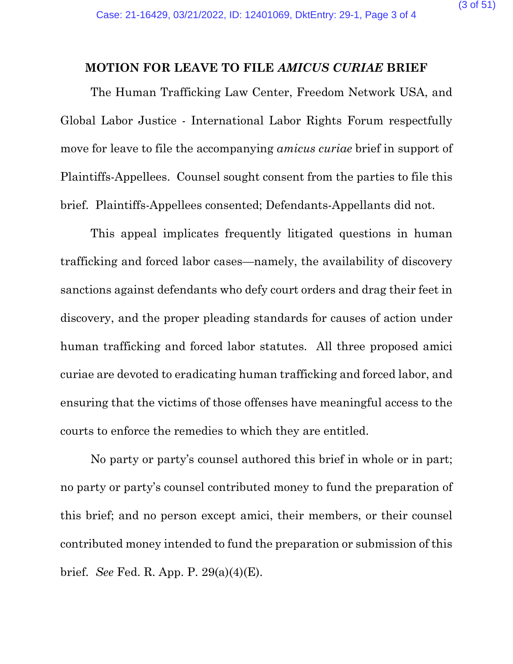#### **MOTION FOR LEAVE TO FILE** *AMICUS CURIAE* **BRIEF**

The Human Trafficking Law Center, Freedom Network USA, and Global Labor Justice - International Labor Rights Forum respectfully move for leave to file the accompanying *amicus curiae* brief in support of Plaintiffs-Appellees. Counsel sought consent from the parties to file this brief. Plaintiffs-Appellees consented; Defendants-Appellants did not.

This appeal implicates frequently litigated questions in human trafficking and forced labor cases—namely, the availability of discovery sanctions against defendants who defy court orders and drag their feet in discovery, and the proper pleading standards for causes of action under human trafficking and forced labor statutes. All three proposed amici curiae are devoted to eradicating human trafficking and forced labor, and ensuring that the victims of those offenses have meaningful access to the courts to enforce the remedies to which they are entitled.

No party or party's counsel authored this brief in whole or in part; no party or party's counsel contributed money to fund the preparation of this brief; and no person except amici, their members, or their counsel contributed money intended to fund the preparation or submission of this brief. *See* Fed. R. App. P. 29(a)(4)(E).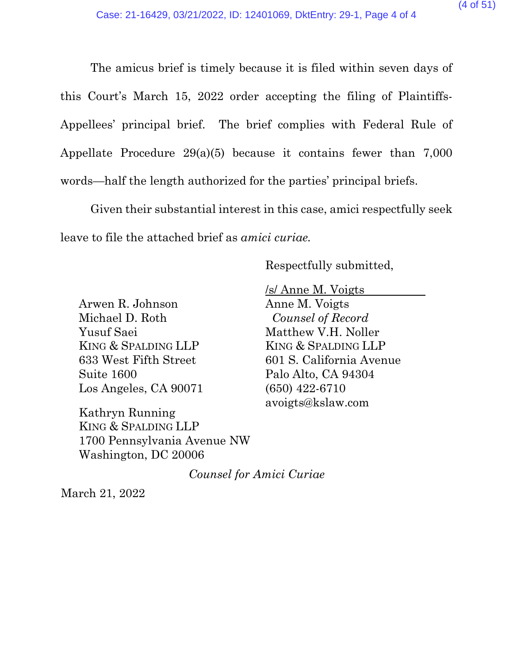The amicus brief is timely because it is filed within seven days of this Court's March 15, 2022 order accepting the filing of Plaintiffs-Appellees' principal brief. The brief complies with Federal Rule of Appellate Procedure 29(a)(5) because it contains fewer than 7,000 words—half the length authorized for the parties' principal briefs.

Given their substantial interest in this case, amici respectfully seek leave to file the attached brief as *amici curiae.*

Respectfully submitted,

Arwen R. Johnson Michael D. Roth Yusuf Saei KING & SPALDING LLP 633 West Fifth Street Suite 1600 Los Angeles, CA 90071

Kathryn Running KING & SPALDING LLP 1700 Pennsylvania Avenue NW Washington, DC 20006

/s/ Anne M. Voigts Anne M. Voigts *Counsel of Record* Matthew V.H. Noller KING & SPALDING LLP 601 S. California Avenue Palo Alto, CA 94304 (650) 422-6710 avoigts@kslaw.com

*Counsel for Amici Curiae*

March 21, 2022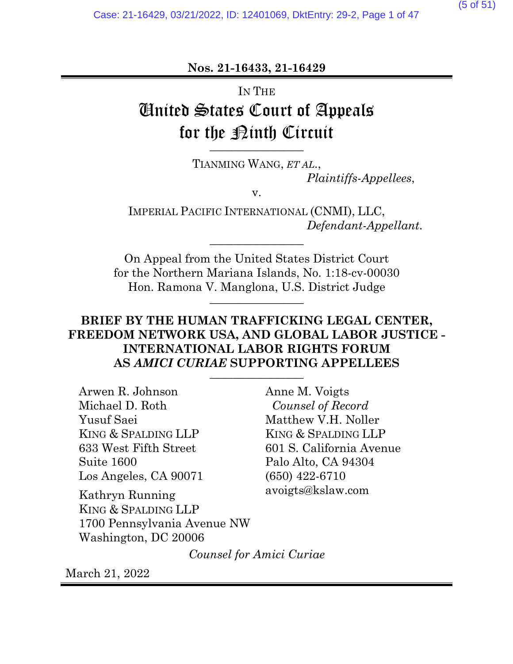**Nos. 21-16433, 21-16429**

# IN THE United States Court of Appeals for the **Pinth** Circuit

TIANMING WANG, *ET AL*., *Plaintiffs-Appellees*,

v.

IMPERIAL PACIFIC INTERNATIONAL (CNMI), LLC, *Defendant-Appellant*.

On Appeal from the United States District Court for the Northern Mariana Islands, No. 1:18-cv-00030 Hon. Ramona V. Manglona, U.S. District Judge **\_\_\_\_\_\_\_\_\_\_\_\_\_\_\_\_**

\_\_\_\_\_\_\_\_\_\_\_\_\_\_\_\_

# **BRIEF BY THE HUMAN TRAFFICKING LEGAL CENTER, FREEDOM NETWORK USA, AND GLOBAL LABOR JUSTICE - INTERNATIONAL LABOR RIGHTS FORUM AS** *AMICI CURIAE* **SUPPORTING APPELLEES** \_\_\_\_\_\_\_\_\_\_\_\_\_\_\_\_

Arwen R. Johnson Michael D. Roth Yusuf Saei KING & SPALDING LLP 633 West Fifth Street Suite 1600 Los Angeles, CA 90071

Kathryn Running KING & SPALDING LLP 1700 Pennsylvania Avenue NW Washington, DC 20006

Anne M. Voigts *Counsel of Record* Matthew V.H. Noller KING & SPALDING LLP 601 S. California Avenue Palo Alto, CA 94304 (650) 422-6710 avoigts@kslaw.com

*Counsel for Amici Curiae*

March 21, 2022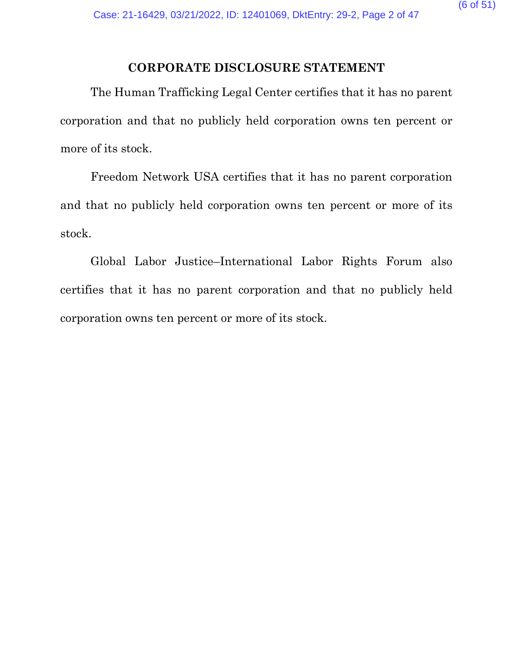## **CORPORATE DISCLOSURE STATEMENT**

The Human Trafficking Legal Center certifies that it has no parent corporation and that no publicly held corporation owns ten percent or more of its stock.

Freedom Network USA certifies that it has no parent corporation and that no publicly held corporation owns ten percent or more of its stock.

Global Labor Justice–International Labor Rights Forum also certifies that it has no parent corporation and that no publicly held corporation owns ten percent or more of its stock.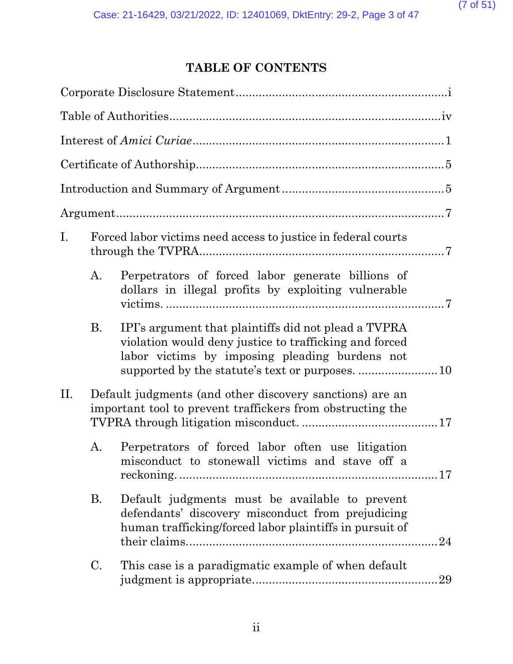# **TABLE OF CONTENTS**

| Ι. |           | Forced labor victims need access to justice in federal courts                                                                                                    |    |
|----|-----------|------------------------------------------------------------------------------------------------------------------------------------------------------------------|----|
|    | A.        | Perpetrators of forced labor generate billions of<br>dollars in illegal profits by exploiting vulnerable                                                         |    |
|    | <b>B.</b> | IPI's argument that plaintiffs did not plead a TVPRA<br>violation would deny justice to trafficking and forced<br>labor victims by imposing pleading burdens not |    |
| П. |           | Default judgments (and other discovery sanctions) are an<br>important tool to prevent traffickers from obstructing the                                           |    |
|    | A.        | Perpetrators of forced labor often use litigation<br>misconduct to stonewall victims and stave off a                                                             |    |
|    | <b>B.</b> | Default judgments must be available to prevent<br>defendants' discovery misconduct from prejudicing<br>human trafficking/forced labor plaintiffs in pursuit of   |    |
|    | C.        | This case is a paradigmatic example of when default                                                                                                              | 29 |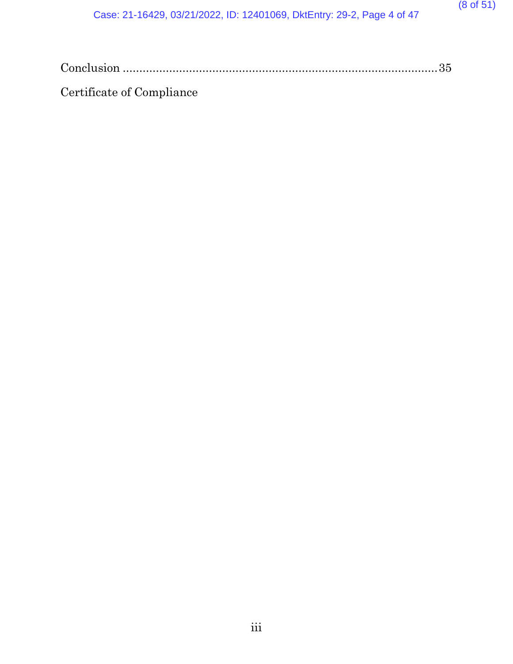| Certificate of Compliance |  |
|---------------------------|--|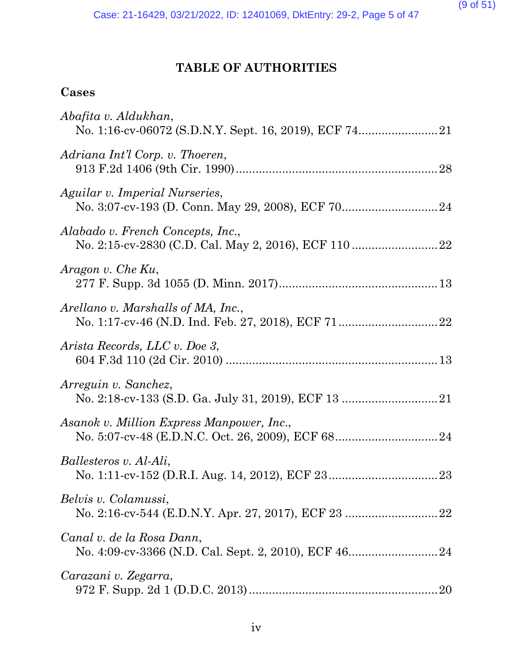# **TABLE OF AUTHORITIES**

# **Cases**

| Abafita v. Aldukhan,                      |
|-------------------------------------------|
| Adriana Int'l Corp. v. Thoeren,           |
| Aguilar v. Imperial Nurseries,            |
| Alabado v. French Concepts, Inc.,         |
| Aragon v. Che Ku,                         |
| Arellano v. Marshalls of MA, Inc.,        |
| Arista Records, LLC v. Doe 3,             |
| Arreguin v. Sanchez,                      |
| Asanok v. Million Express Manpower, Inc., |
| Ballesteros v. Al-Ali,                    |
| Belvis v. Colamussi,                      |
| Canal v. de la Rosa Dann,                 |
| Carazani v. Zegarra,                      |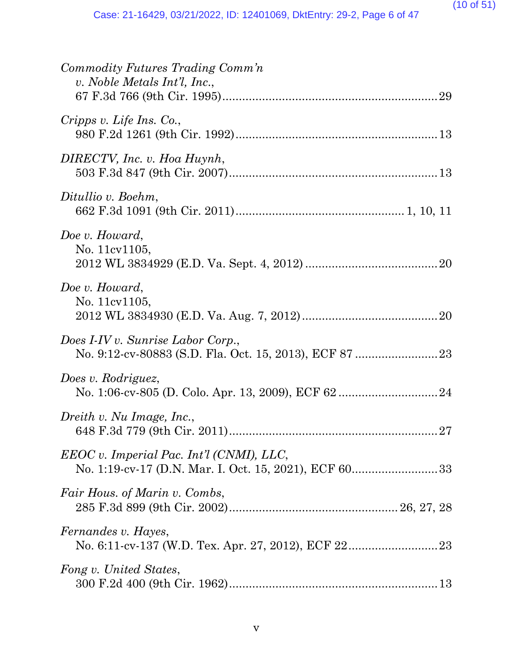| Commodity Futures Trading Comm'n<br>v. Noble Metals Int'l, Inc., |
|------------------------------------------------------------------|
| Cripps v. Life Ins. Co.,                                         |
| DIRECTV, Inc. v. Hoa Huynh,                                      |
| Ditullio v. Boehm,                                               |
| Doe v. Howard,<br>No. 11cv1105,                                  |
| Doe v. Howard,<br>No. 11cv1105,                                  |
| Does I-IV v. Sunrise Labor Corp.,                                |
| Does v. Rodriguez,                                               |
| Dreith v. Nu Image, Inc.,                                        |
| $EEOC$ v. Imperial Pac. Int'l (CNMI), LLC,                       |
| Fair Hous. of Marin v. Combs,                                    |
| <i>Fernandes v. Hayes,</i>                                       |
| Fong v. United States,                                           |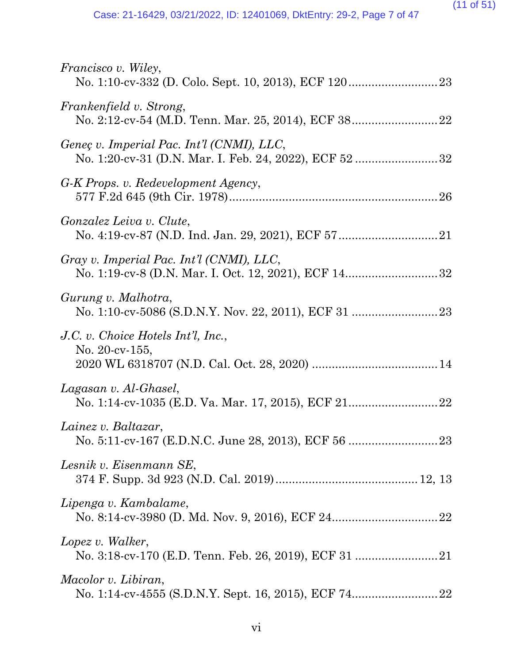| <i>Francisco v. Wiley,</i>                                  |
|-------------------------------------------------------------|
| Frankenfield v. Strong,                                     |
| Geneç v. Imperial Pac. Int'l (CNMI), LLC,                   |
| G-K Props. v. Redevelopment Agency,                         |
| <i>Gonzalez Leiva v. Clute,</i>                             |
| Gray v. Imperial Pac. Int'l (CNMI), LLC,                    |
| Gurung v. Malhotra,                                         |
| J.C. v. Choice Hotels Int'l, Inc.,<br>No. $20$ -cv- $155$ , |
| Lagasan v. Al-Ghasel,                                       |
| Lainez v. Baltazar,                                         |
| Lesnik v. Eisenmann SE,                                     |
| Lipenga v. Kambalame,                                       |
| Lopez v. Walker,                                            |
| Macolor v. Libiran,                                         |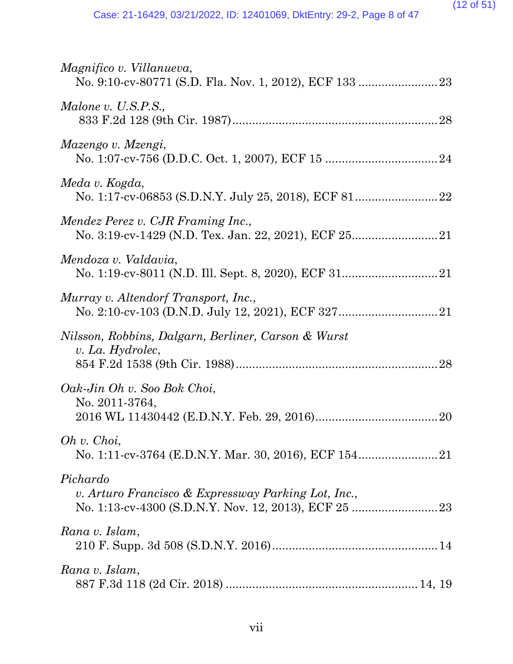| Magnifico v. Villanueva,                                                |
|-------------------------------------------------------------------------|
| Malone v. U.S.P.S.,                                                     |
| Mazengo v. Mzengi,                                                      |
| Meda v. Kogda,                                                          |
| Mendez Perez v. CJR Framing Inc.,                                       |
| Mendoza v. Valdavia,                                                    |
| Murray v. Altendorf Transport, Inc.,                                    |
| Nilsson, Robbins, Dalgarn, Berliner, Carson & Wurst<br>v. La. Hydrolec, |
| Oak-Jin Oh v. Soo Bok Choi,<br>No. 2011-3764,                           |
| Oh v. Choi,                                                             |
| Pichardo<br>v. Arturo Francisco & Expressway Parking Lot, Inc.,         |
| Rana v. Islam,                                                          |
| Rana v. Islam,                                                          |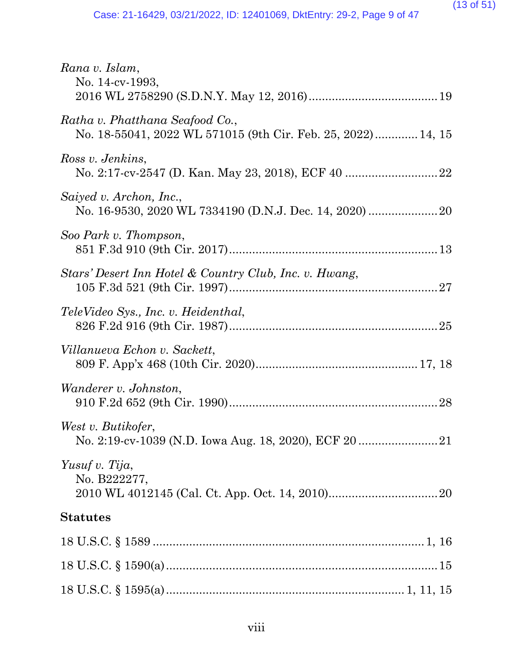#### (13 of 51)

| Rana v. Islam,<br>No. 14-cv-1993,                                                               |
|-------------------------------------------------------------------------------------------------|
| Ratha v. Phatthana Seafood Co.,<br>No. 18-55041, 2022 WL 571015 (9th Cir. Feb. 25, 2022) 14, 15 |
| Ross v. Jenkins,                                                                                |
| Saiyed v. Archon, Inc.,                                                                         |
| Soo Park v. Thompson,                                                                           |
| Stars' Desert Inn Hotel & Country Club, Inc. v. Hwang,                                          |
| TeleVideo Sys., Inc. v. Heidenthal,                                                             |
| Villanueva Echon v. Sackett,                                                                    |
| Wanderer v. Johnston,                                                                           |
| West v. Butikofer,                                                                              |
| Yusuf v. Tija,<br>No. B222277,                                                                  |
| <b>Statutes</b>                                                                                 |
|                                                                                                 |
|                                                                                                 |
|                                                                                                 |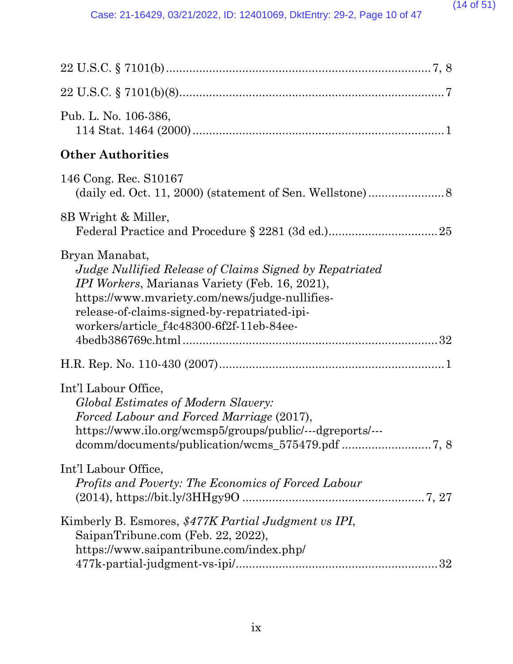| Pub. L. No. 106-386,                                                                                                                                                                                                                                                             |
|----------------------------------------------------------------------------------------------------------------------------------------------------------------------------------------------------------------------------------------------------------------------------------|
| <b>Other Authorities</b>                                                                                                                                                                                                                                                         |
| 146 Cong. Rec. S10167                                                                                                                                                                                                                                                            |
| 8B Wright & Miller,                                                                                                                                                                                                                                                              |
| Bryan Manabat,<br>Judge Nullified Release of Claims Signed by Repatriated<br><i>IPI Workers, Marianas Variety (Feb. 16, 2021),</i><br>https://www.mvariety.com/news/judge-nullifies-<br>release-of-claims-signed-by-repatriated-ipi-<br>workers/article_f4c48300-6f2f-11eb-84ee- |
|                                                                                                                                                                                                                                                                                  |
| Int'l Labour Office,<br>Global Estimates of Modern Slavery:<br>Forced Labour and Forced Marriage (2017),<br>https://www.ilo.org/wcmsp5/groups/public/---dgreports/---                                                                                                            |
| Int'l Labour Office,<br>Profits and Poverty: The Economics of Forced Labour                                                                                                                                                                                                      |
| Kimberly B. Esmores, \$477K Partial Judgment vs IPI,<br>SaipanTribune.com (Feb. 22, 2022),<br>https://www.saipantribune.com/index.php/<br>32                                                                                                                                     |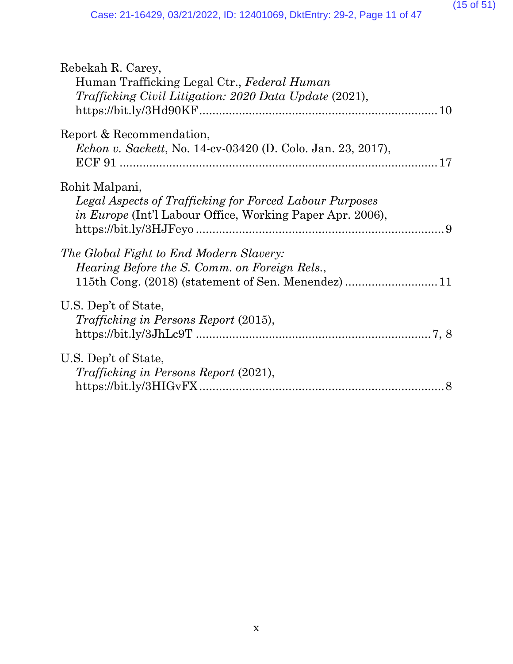#### (15 of 51)

| Rebekah R. Carey,                                                  |
|--------------------------------------------------------------------|
| Human Trafficking Legal Ctr., Federal Human                        |
| <i>Trafficking Civil Litigation: 2020 Data Update (2021),</i>      |
|                                                                    |
| Report & Recommendation,                                           |
| <i>Echon v. Sackett, No.</i> 14-cv-03420 (D. Colo. Jan. 23, 2017), |
|                                                                    |
|                                                                    |
| Rohit Malpani,                                                     |
| Legal Aspects of Trafficking for Forced Labour Purposes            |
| <i>in Europe</i> (Int'l Labour Office, Working Paper Apr. 2006),   |
|                                                                    |
| The Global Fight to End Modern Slavery:                            |
| <i>Hearing Before the S. Comm. on Foreign Rels.,</i>               |
|                                                                    |
|                                                                    |
| U.S. Dep't of State,                                               |
| Trafficking in Persons Report (2015),                              |
|                                                                    |
| U.S. Dep't of State,                                               |
| <i>Trafficking in Persons Report (2021),</i>                       |
|                                                                    |
|                                                                    |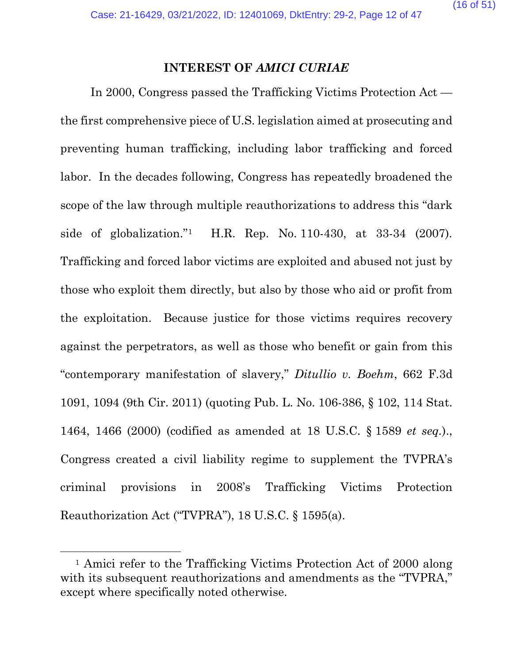#### **INTEREST OF** *AMICI CURIAE*

In 2000, Congress passed the Trafficking Victims Protection Act the first comprehensive piece of U.S. legislation aimed at prosecuting and preventing human trafficking, including labor trafficking and forced labor. In the decades following, Congress has repeatedly broadened the scope of the law through multiple reauthorizations to address this "dark side of globalization."[1](#page-15-0) H.R. Rep. No. 110-430, at 33-34 (2007). Trafficking and forced labor victims are exploited and abused not just by those who exploit them directly, but also by those who aid or profit from the exploitation. Because justice for those victims requires recovery against the perpetrators, as well as those who benefit or gain from this "contemporary manifestation of slavery," *Ditullio v. Boehm*, 662 F.3d 1091, 1094 (9th Cir. 2011) (quoting Pub. L. No. 106-386, § 102, 114 Stat. 1464, 1466 (2000) (codified as amended at 18 U.S.C. § 1589 *et seq.*)., Congress created a civil liability regime to supplement the TVPRA's criminal provisions in 2008's Trafficking Victims Protection Reauthorization Act ("TVPRA"), 18 U.S.C. § 1595(a).

<span id="page-15-0"></span><sup>&</sup>lt;sup>1</sup> Amici refer to the Trafficking Victims Protection Act of 2000 along with its subsequent reauthorizations and amendments as the "TVPRA," except where specifically noted otherwise.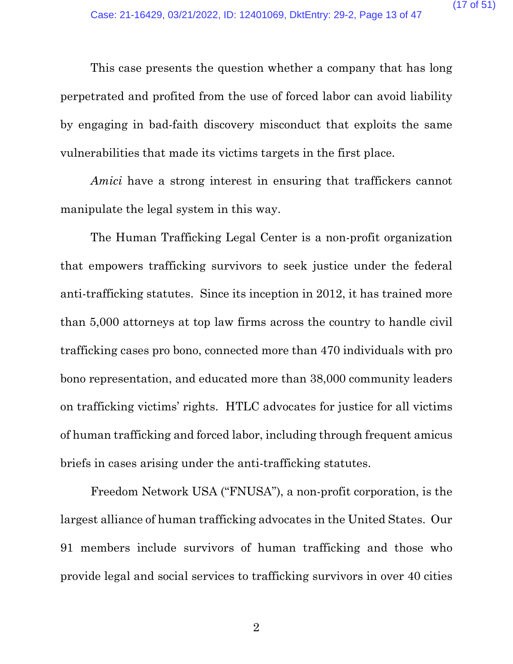This case presents the question whether a company that has long perpetrated and profited from the use of forced labor can avoid liability by engaging in bad-faith discovery misconduct that exploits the same vulnerabilities that made its victims targets in the first place.

*Amici* have a strong interest in ensuring that traffickers cannot manipulate the legal system in this way.

The Human Trafficking Legal Center is a non-profit organization that empowers trafficking survivors to seek justice under the federal anti-trafficking statutes. Since its inception in 2012, it has trained more than 5,000 attorneys at top law firms across the country to handle civil trafficking cases pro bono, connected more than 470 individuals with pro bono representation, and educated more than 38,000 community leaders on trafficking victims' rights. HTLC advocates for justice for all victims of human trafficking and forced labor, including through frequent amicus briefs in cases arising under the anti-trafficking statutes.

Freedom Network USA ("FNUSA"), a non-profit corporation, is the largest alliance of human trafficking advocates in the United States. Our 91 members include survivors of human trafficking and those who provide legal and social services to trafficking survivors in over 40 cities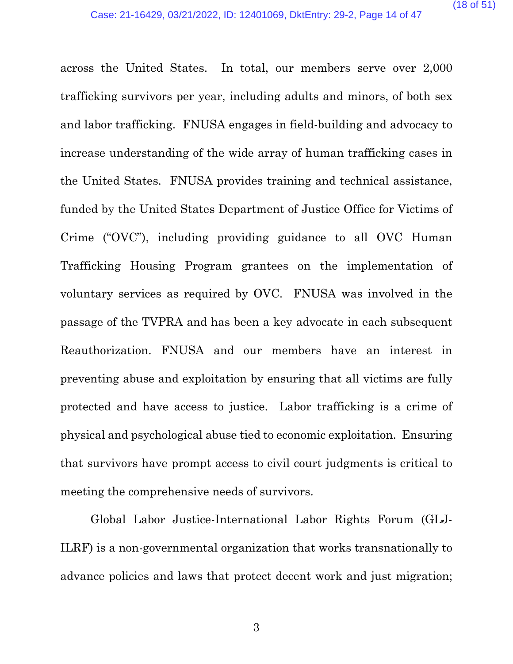across the United States. In total, our members serve over 2,000 trafficking survivors per year, including adults and minors, of both sex and labor trafficking. FNUSA engages in field-building and advocacy to increase understanding of the wide array of human trafficking cases in the United States. FNUSA provides training and technical assistance, funded by the United States Department of Justice Office for Victims of Crime ("OVC"), including providing guidance to all OVC Human Trafficking Housing Program grantees on the implementation of voluntary services as required by OVC. FNUSA was involved in the passage of the TVPRA and has been a key advocate in each subsequent Reauthorization. FNUSA and our members have an interest in preventing abuse and exploitation by ensuring that all victims are fully protected and have access to justice. Labor trafficking is a crime of physical and psychological abuse tied to economic exploitation. Ensuring that survivors have prompt access to civil court judgments is critical to meeting the comprehensive needs of survivors.

Global Labor Justice-International Labor Rights Forum (GLJ-ILRF) is a non-governmental organization that works transnationally to advance policies and laws that protect decent work and just migration;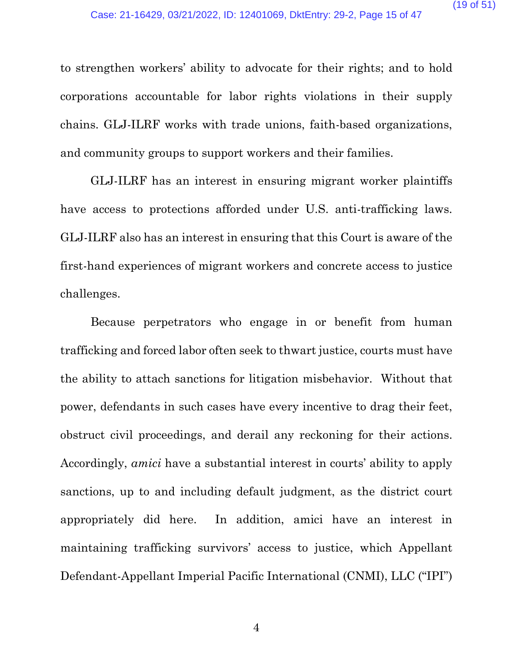to strengthen workers' ability to advocate for their rights; and to hold corporations accountable for labor rights violations in their supply chains. GLJ-ILRF works with trade unions, faith-based organizations, and community groups to support workers and their families.

GLJ-ILRF has an interest in ensuring migrant worker plaintiffs have access to protections afforded under U.S. anti-trafficking laws. GLJ-ILRF also has an interest in ensuring that this Court is aware of the first-hand experiences of migrant workers and concrete access to justice challenges.

Because perpetrators who engage in or benefit from human trafficking and forced labor often seek to thwart justice, courts must have the ability to attach sanctions for litigation misbehavior. Without that power, defendants in such cases have every incentive to drag their feet, obstruct civil proceedings, and derail any reckoning for their actions. Accordingly, *amici* have a substantial interest in courts' ability to apply sanctions, up to and including default judgment, as the district court appropriately did here. In addition, amici have an interest in maintaining trafficking survivors' access to justice, which Appellant Defendant-Appellant Imperial Pacific International (CNMI), LLC ("IPI")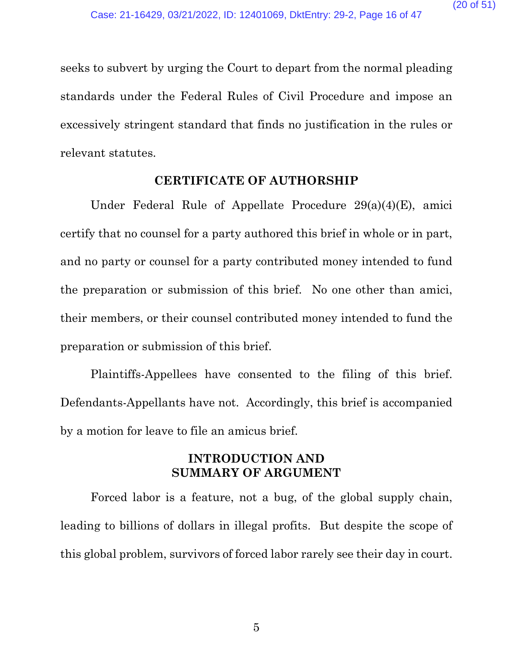seeks to subvert by urging the Court to depart from the normal pleading standards under the Federal Rules of Civil Procedure and impose an excessively stringent standard that finds no justification in the rules or relevant statutes.

#### **CERTIFICATE OF AUTHORSHIP**

Under Federal Rule of Appellate Procedure 29(a)(4)(E), amici certify that no counsel for a party authored this brief in whole or in part, and no party or counsel for a party contributed money intended to fund the preparation or submission of this brief. No one other than amici, their members, or their counsel contributed money intended to fund the preparation or submission of this brief.

Plaintiffs-Appellees have consented to the filing of this brief. Defendants-Appellants have not. Accordingly, this brief is accompanied by a motion for leave to file an amicus brief.

# **INTRODUCTION AND SUMMARY OF ARGUMENT**

Forced labor is a feature, not a bug, of the global supply chain, leading to billions of dollars in illegal profits. But despite the scope of this global problem, survivors of forced labor rarely see their day in court.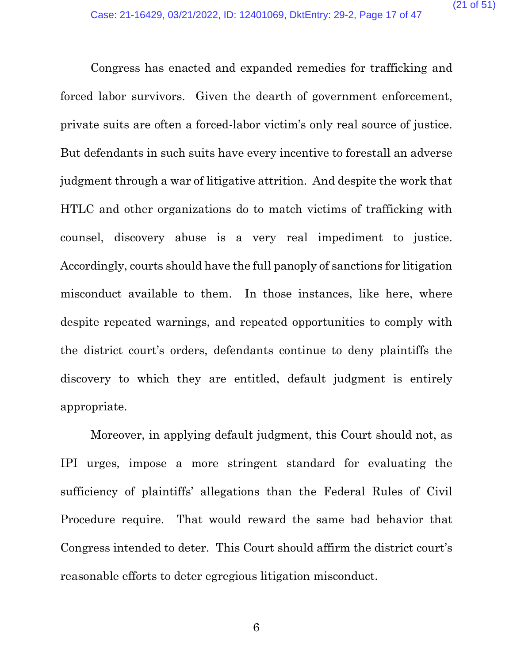Congress has enacted and expanded remedies for trafficking and forced labor survivors. Given the dearth of government enforcement, private suits are often a forced-labor victim's only real source of justice. But defendants in such suits have every incentive to forestall an adverse judgment through a war of litigative attrition. And despite the work that HTLC and other organizations do to match victims of trafficking with counsel, discovery abuse is a very real impediment to justice. Accordingly, courts should have the full panoply of sanctions for litigation misconduct available to them. In those instances, like here, where despite repeated warnings, and repeated opportunities to comply with the district court's orders, defendants continue to deny plaintiffs the discovery to which they are entitled, default judgment is entirely appropriate.

Moreover, in applying default judgment, this Court should not, as IPI urges, impose a more stringent standard for evaluating the sufficiency of plaintiffs' allegations than the Federal Rules of Civil Procedure require. That would reward the same bad behavior that Congress intended to deter. This Court should affirm the district court's reasonable efforts to deter egregious litigation misconduct.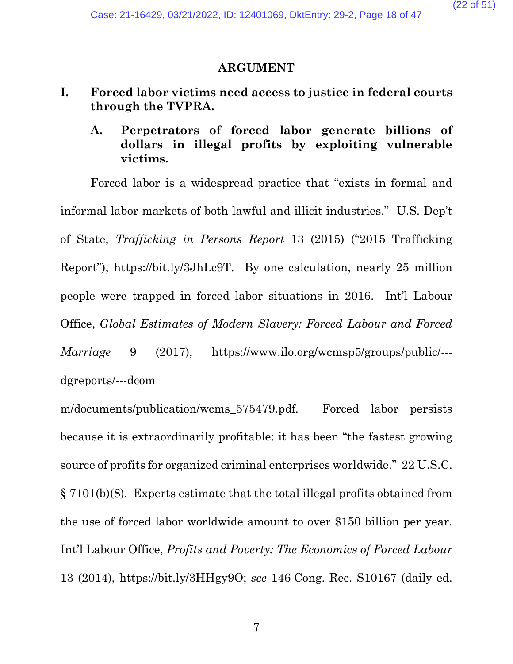#### **ARGUMENT**

- **I. Forced labor victims need access to justice in federal courts through the TVPRA.**
	- **A. Perpetrators of forced labor generate billions of dollars in illegal profits by exploiting vulnerable victims.**

Forced labor is a widespread practice that "exists in formal and informal labor markets of both lawful and illicit industries." U.S. Dep't of State, *Trafficking in Persons Report* 13 (2015) ("2015 Trafficking Report"), https://bit.ly/3JhLc9T. By one calculation, nearly 25 million people were trapped in forced labor situations in 2016. Int'l Labour Office, *Global Estimates of Modern Slavery: Forced Labour and Forced Marriage* 9 (2017), https://www.ilo.org/wcmsp5/groups/public/-- dgreports/---dcom

m/documents/publication/wcms 575479.pdf. Forced labor persists because it is extraordinarily profitable: it has been "the fastest growing source of profits for organized criminal enterprises worldwide." 22 U.S.C. § 7101(b)(8). Experts estimate that the total illegal profits obtained from the use of forced labor worldwide amount to over \$150 billion per year. Int'l Labour Office, *Profits and Poverty: The Economics of Forced Labour* 13 (2014), https://bit.ly/3HHgy9O; *see* 146 Cong. Rec. S10167 (daily ed.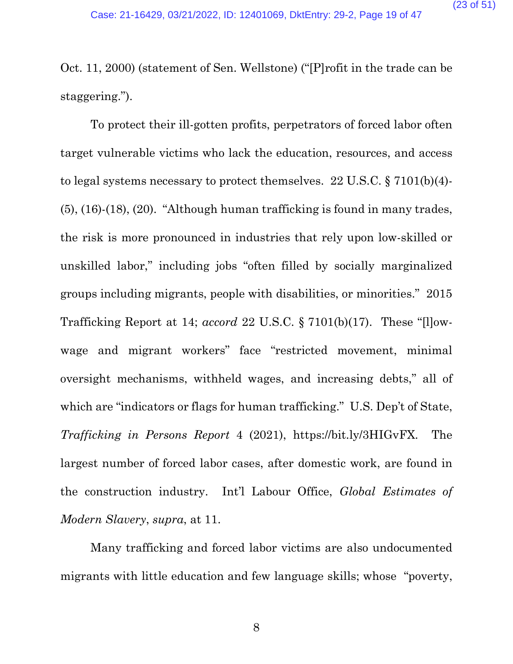Oct. 11, 2000) (statement of Sen. Wellstone) ("[P]rofit in the trade can be staggering.").

To protect their ill-gotten profits, perpetrators of forced labor often target vulnerable victims who lack the education, resources, and access to legal systems necessary to protect themselves. 22 U.S.C. § 7101(b)(4)- (5), (16)-(18), (20). "Although human trafficking is found in many trades, the risk is more pronounced in industries that rely upon low-skilled or unskilled labor," including jobs "often filled by socially marginalized groups including migrants, people with disabilities, or minorities." 2015 Trafficking Report at 14; *accord* 22 U.S.C. § 7101(b)(17). These "[l]owwage and migrant workers" face "restricted movement, minimal oversight mechanisms, withheld wages, and increasing debts," all of which are "indicators or flags for human trafficking." U.S. Dep't of State, *Trafficking in Persons Report* 4 (2021), https://bit.ly/3HIGvFX. The largest number of forced labor cases, after domestic work, are found in the construction industry. Int'l Labour Office, *Global Estimates of Modern Slavery*, *supra*, at 11.

Many trafficking and forced labor victims are also undocumented migrants with little education and few language skills; whose "poverty,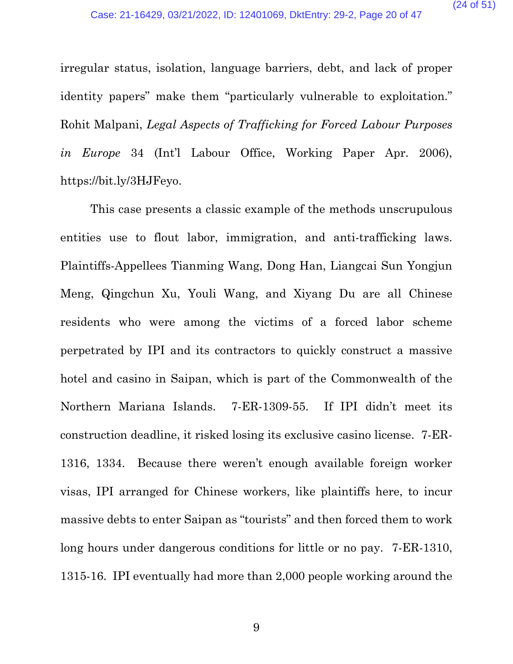irregular status, isolation, language barriers, debt, and lack of proper identity papers" make them "particularly vulnerable to exploitation." Rohit Malpani, *Legal Aspects of Trafficking for Forced Labour Purposes in Europe* 34 (Int'l Labour Office, Working Paper Apr. 2006), https://bit.ly/3HJFeyo.

This case presents a classic example of the methods unscrupulous entities use to flout labor, immigration, and anti-trafficking laws. Plaintiffs-Appellees Tianming Wang, Dong Han, Liangcai Sun Yongjun Meng, Qingchun Xu, Youli Wang, and Xiyang Du are all Chinese residents who were among the victims of a forced labor scheme perpetrated by IPI and its contractors to quickly construct a massive hotel and casino in Saipan, which is part of the Commonwealth of the Northern Mariana Islands. 7-ER-1309-55. If IPI didn't meet its construction deadline, it risked losing its exclusive casino license. 7-ER-1316, 1334. Because there weren't enough available foreign worker visas, IPI arranged for Chinese workers, like plaintiffs here, to incur massive debts to enter Saipan as "tourists" and then forced them to work long hours under dangerous conditions for little or no pay. 7-ER-1310, 1315-16. IPI eventually had more than 2,000 people working around the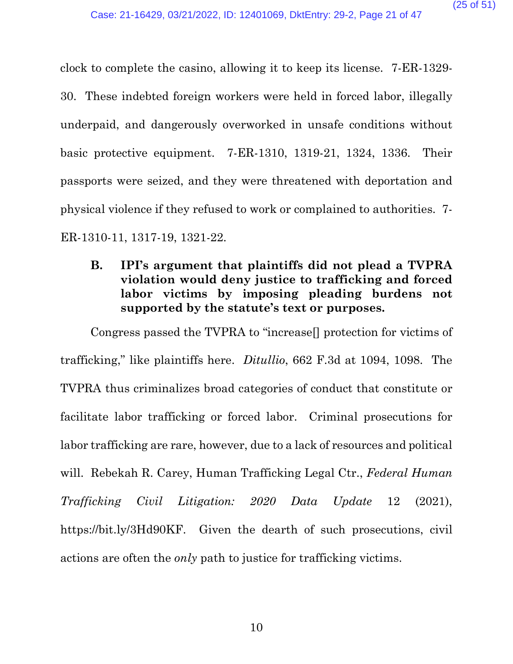clock to complete the casino, allowing it to keep its license. 7-ER-1329- 30. These indebted foreign workers were held in forced labor, illegally underpaid, and dangerously overworked in unsafe conditions without basic protective equipment. 7-ER-1310, 1319-21, 1324, 1336. Their passports were seized, and they were threatened with deportation and physical violence if they refused to work or complained to authorities. 7- ER-1310-11, 1317-19, 1321-22.

**B. IPI's argument that plaintiffs did not plead a TVPRA violation would deny justice to trafficking and forced labor victims by imposing pleading burdens not supported by the statute's text or purposes.**

Congress passed the TVPRA to "increase[] protection for victims of trafficking," like plaintiffs here. *Ditullio*, 662 F.3d at 1094, 1098. The TVPRA thus criminalizes broad categories of conduct that constitute or facilitate labor trafficking or forced labor. Criminal prosecutions for labor trafficking are rare, however, due to a lack of resources and political will. Rebekah R. Carey, Human Trafficking Legal Ctr., *Federal Human Trafficking Civil Litigation: 2020 Data Update* 12 (2021), [https://bit.ly/3Hd90KF.](https://bit.ly/3Hd90KF) Given the dearth of such prosecutions, civil actions are often the *only* path to justice for trafficking victims.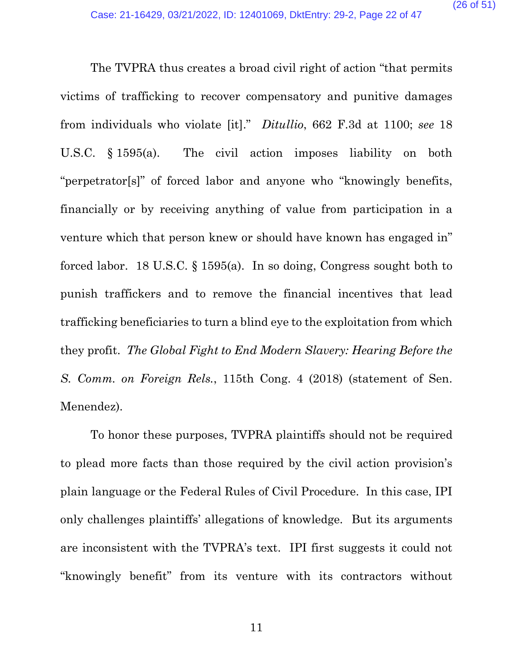The TVPRA thus creates a broad civil right of action "that permits victims of trafficking to recover compensatory and punitive damages from individuals who violate [it]." *Ditullio*, 662 F.3d at 1100; *see* 18 U.S.C. § 1595(a). The civil action imposes liability on both "perpetrator[s]" of forced labor and anyone who "knowingly benefits, financially or by receiving anything of value from participation in a venture which that person knew or should have known has engaged in" forced labor. 18 U.S.C. § 1595(a). In so doing, Congress sought both to punish traffickers and to remove the financial incentives that lead trafficking beneficiaries to turn a blind eye to the exploitation from which they profit. *The Global Fight to End Modern Slavery: Hearing Before the S. Comm. on Foreign Rels.*, 115th Cong. 4 (2018) (statement of Sen. Menendez).

To honor these purposes, TVPRA plaintiffs should not be required to plead more facts than those required by the civil action provision's plain language or the Federal Rules of Civil Procedure. In this case, IPI only challenges plaintiffs' allegations of knowledge. But its arguments are inconsistent with the TVPRA's text. IPI first suggests it could not "knowingly benefit" from its venture with its contractors without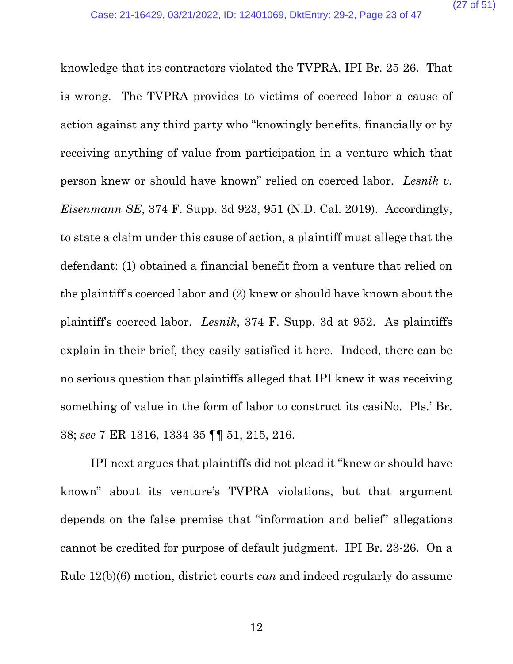knowledge that its contractors violated the TVPRA, IPI Br. 25-26. That is wrong. The TVPRA provides to victims of coerced labor a cause of action against any third party who "knowingly benefits, financially or by receiving anything of value from participation in a venture which that person knew or should have known" relied on coerced labor. *Lesnik v. Eisenmann SE*, 374 F. Supp. 3d 923, 951 (N.D. Cal. 2019). Accordingly, to state a claim under this cause of action, a plaintiff must allege that the defendant: (1) obtained a financial benefit from a venture that relied on the plaintiff's coerced labor and (2) knew or should have known about the plaintiff's coerced labor. *Lesnik*, 374 F. Supp. 3d at 952. As plaintiffs explain in their brief, they easily satisfied it here. Indeed, there can be no serious question that plaintiffs alleged that IPI knew it was receiving something of value in the form of labor to construct its casiNo. Pls.' Br. 38; *see* 7-ER-1316, 1334-35 ¶¶ 51, 215, 216.

IPI next argues that plaintiffs did not plead it "knew or should have known" about its venture's TVPRA violations, but that argument depends on the false premise that "information and belief" allegations cannot be credited for purpose of default judgment. IPI Br. 23-26. On a Rule 12(b)(6) motion, district courts *can* and indeed regularly do assume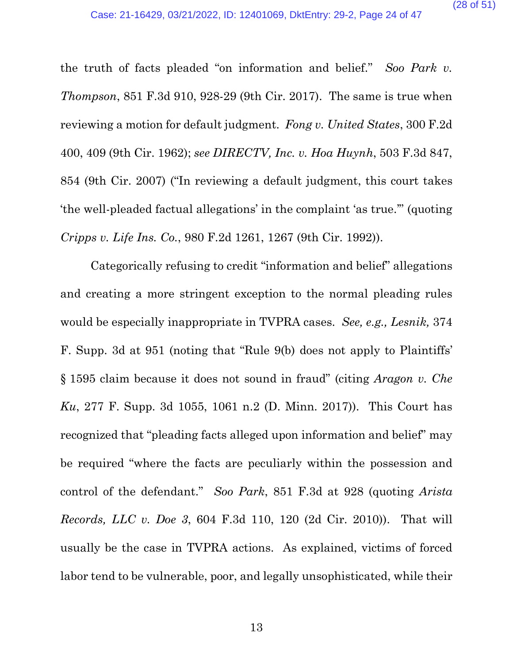the truth of facts pleaded "on information and belief." *Soo Park v. Thompson*, 851 F.3d 910, 928-29 (9th Cir. 2017). The same is true when reviewing a motion for default judgment. *Fong v. United States*, 300 F.2d 400, 409 (9th Cir. 1962); *see DIRECTV, Inc. v. Hoa Huynh*, 503 F.3d 847, 854 (9th Cir. 2007) ("In reviewing a default judgment, this court takes 'the well-pleaded factual allegations' in the complaint 'as true.'" (quoting *Cripps v. Life Ins. Co.*, 980 F.2d 1261, 1267 (9th Cir. 1992)).

Categorically refusing to credit "information and belief" allegations and creating a more stringent exception to the normal pleading rules would be especially inappropriate in TVPRA cases. *See, e.g., Lesnik,* 374 F. Supp. 3d at 951 (noting that "Rule 9(b) does not apply to Plaintiffs' § 1595 claim because it does not sound in fraud" (citing *Aragon v. Che Ku*, 277 F. Supp. 3d 1055, 1061 n.2 (D. Minn. 2017)). This Court has recognized that "pleading facts alleged upon information and belief" may be required "where the facts are peculiarly within the possession and control of the defendant." *Soo Park*, 851 F.3d at 928 (quoting *Arista Records, LLC v. Doe 3*, 604 F.3d 110, 120 (2d Cir. 2010)). That will usually be the case in TVPRA actions. As explained, victims of forced labor tend to be vulnerable, poor, and legally unsophisticated, while their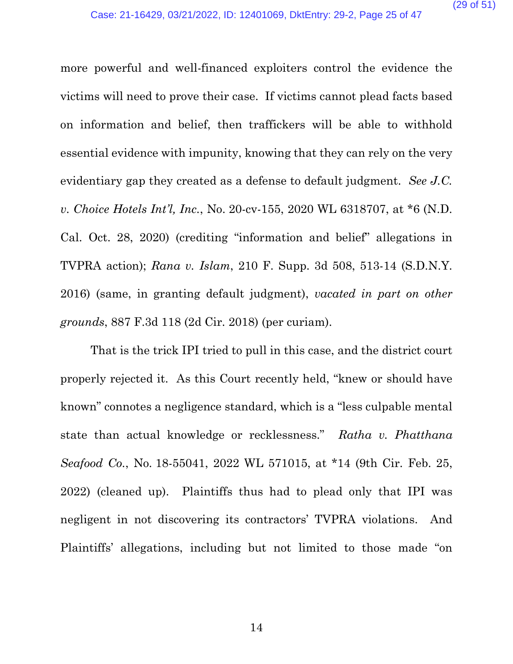more powerful and well-financed exploiters control the evidence the victims will need to prove their case. If victims cannot plead facts based on information and belief, then traffickers will be able to withhold essential evidence with impunity, knowing that they can rely on the very evidentiary gap they created as a defense to default judgment. *See J.C. v. Choice Hotels Int'l, Inc.*, No. 20-cv-155, 2020 WL 6318707, at \*6 (N.D. Cal. Oct. 28, 2020) (crediting "information and belief" allegations in TVPRA action); *Rana v. Islam*, 210 F. Supp. 3d 508, 513-14 (S.D.N.Y. 2016) (same, in granting default judgment), *vacated in part on other grounds*, 887 F.3d 118 (2d Cir. 2018) (per curiam).

That is the trick IPI tried to pull in this case, and the district court properly rejected it. As this Court recently held, "knew or should have known" connotes a negligence standard, which is a "less culpable mental state than actual knowledge or recklessness." *Ratha v. Phatthana Seafood Co.*, No. 18-55041, 2022 WL 571015, at \*14 (9th Cir. Feb. 25, 2022) (cleaned up). Plaintiffs thus had to plead only that IPI was negligent in not discovering its contractors' TVPRA violations. And Plaintiffs' allegations, including but not limited to those made "on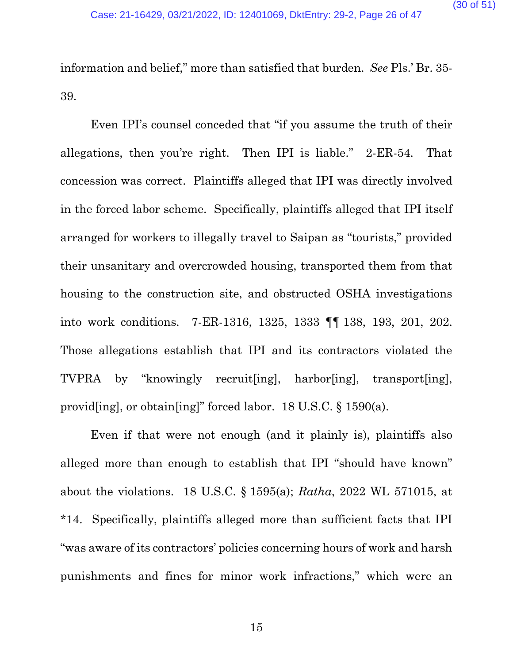information and belief," more than satisfied that burden. *See* Pls.' Br. 35- 39.

Even IPI's counsel conceded that "if you assume the truth of their allegations, then you're right. Then IPI is liable." 2-ER-54. That concession was correct. Plaintiffs alleged that IPI was directly involved in the forced labor scheme. Specifically, plaintiffs alleged that IPI itself arranged for workers to illegally travel to Saipan as "tourists," provided their unsanitary and overcrowded housing, transported them from that housing to the construction site, and obstructed OSHA investigations into work conditions. 7-ER-1316, 1325, 1333 ¶¶ 138, 193, 201, 202. Those allegations establish that IPI and its contractors violated the TVPRA by "knowingly recruit[ing], harbor[ing], transport[ing], provid[ing], or obtain[ing]" forced labor. 18 U.S.C. § 1590(a).

Even if that were not enough (and it plainly is), plaintiffs also alleged more than enough to establish that IPI "should have known" about the violations. 18 U.S.C. § 1595(a); *Ratha*, 2022 WL 571015, at \*14. Specifically, plaintiffs alleged more than sufficient facts that IPI "was aware of its contractors' policies concerning hours of work and harsh punishments and fines for minor work infractions," which were an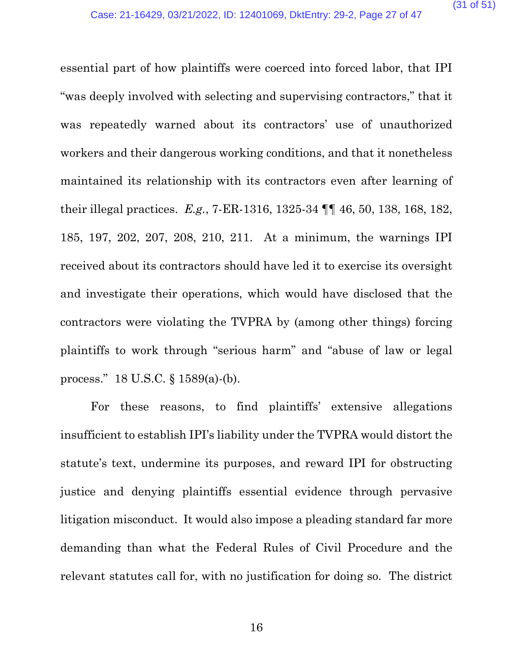essential part of how plaintiffs were coerced into forced labor, that IPI "was deeply involved with selecting and supervising contractors," that it was repeatedly warned about its contractors' use of unauthorized workers and their dangerous working conditions, and that it nonetheless maintained its relationship with its contractors even after learning of their illegal practices. *E.g.*, 7-ER-1316, 1325-34 ¶¶ 46, 50, 138, 168, 182, 185, 197, 202, 207, 208, 210, 211. At a minimum, the warnings IPI received about its contractors should have led it to exercise its oversight and investigate their operations, which would have disclosed that the contractors were violating the TVPRA by (among other things) forcing plaintiffs to work through "serious harm" and "abuse of law or legal process." 18 U.S.C. § 1589(a)-(b).

For these reasons, to find plaintiffs' extensive allegations insufficient to establish IPI's liability under the TVPRA would distort the statute's text, undermine its purposes, and reward IPI for obstructing justice and denying plaintiffs essential evidence through pervasive litigation misconduct. It would also impose a pleading standard far more demanding than what the Federal Rules of Civil Procedure and the relevant statutes call for, with no justification for doing so. The district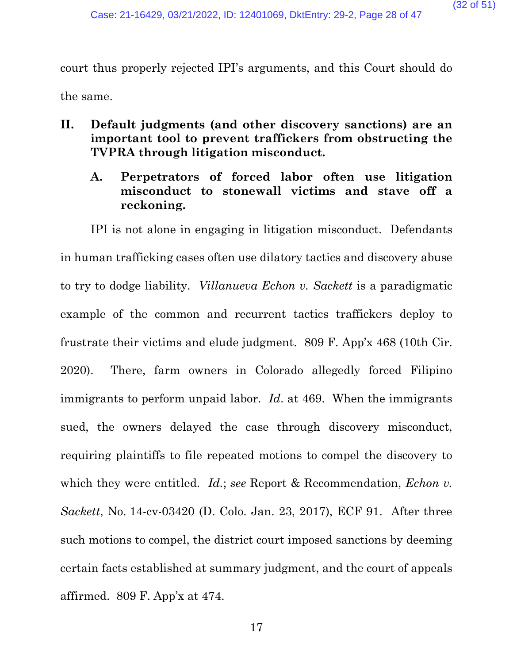court thus properly rejected IPI's arguments, and this Court should do the same.

- **II. Default judgments (and other discovery sanctions) are an important tool to prevent traffickers from obstructing the TVPRA through litigation misconduct.** 
	- **A. Perpetrators of forced labor often use litigation misconduct to stonewall victims and stave off a reckoning.**

IPI is not alone in engaging in litigation misconduct. Defendants in human trafficking cases often use dilatory tactics and discovery abuse to try to dodge liability. *Villanueva Echon v. Sackett* is a paradigmatic example of the common and recurrent tactics traffickers deploy to frustrate their victims and elude judgment. 809 F. App'x 468 (10th Cir. 2020). There, farm owners in Colorado allegedly forced Filipino immigrants to perform unpaid labor. *Id*. at 469. When the immigrants sued, the owners delayed the case through discovery misconduct, requiring plaintiffs to file repeated motions to compel the discovery to which they were entitled. *Id.*; *see* Report & Recommendation, *Echon v. Sackett*, No. 14-cv-03420 (D. Colo. Jan. 23, 2017), ECF 91. After three such motions to compel, the district court imposed sanctions by deeming certain facts established at summary judgment, and the court of appeals affirmed. 809 F. App'x at 474.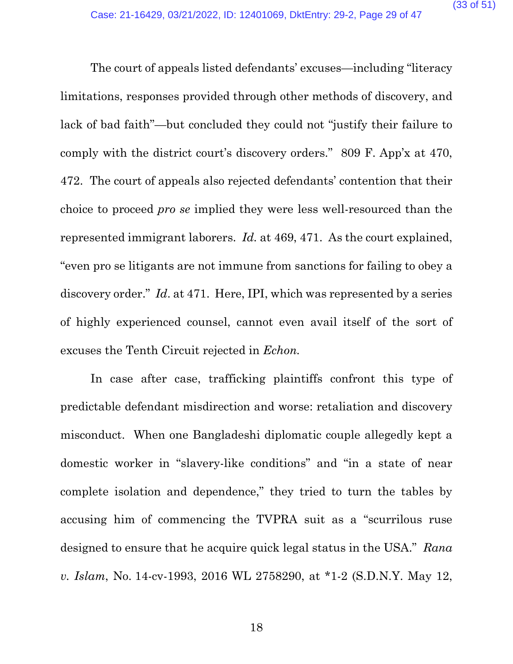The court of appeals listed defendants' excuses—including "literacy limitations, responses provided through other methods of discovery, and lack of bad faith"—but concluded they could not "justify their failure to comply with the district court's discovery orders." 809 F. App'x at 470, 472. The court of appeals also rejected defendants' contention that their choice to proceed *pro se* implied they were less well-resourced than the represented immigrant laborers. *Id.* at 469, 471. As the court explained, "even pro se litigants are not immune from sanctions for failing to obey a discovery order." *Id*. at 471. Here, IPI, which was represented by a series of highly experienced counsel, cannot even avail itself of the sort of excuses the Tenth Circuit rejected in *Echon.*

In case after case, trafficking plaintiffs confront this type of predictable defendant misdirection and worse: retaliation and discovery misconduct. When one Bangladeshi diplomatic couple allegedly kept a domestic worker in "slavery-like conditions" and "in a state of near complete isolation and dependence," they tried to turn the tables by accusing him of commencing the TVPRA suit as a "scurrilous ruse designed to ensure that he acquire quick legal status in the USA." *Rana v. Islam*, No. 14-cv-1993, 2016 WL 2758290, at \*1-2 (S.D.N.Y. May 12,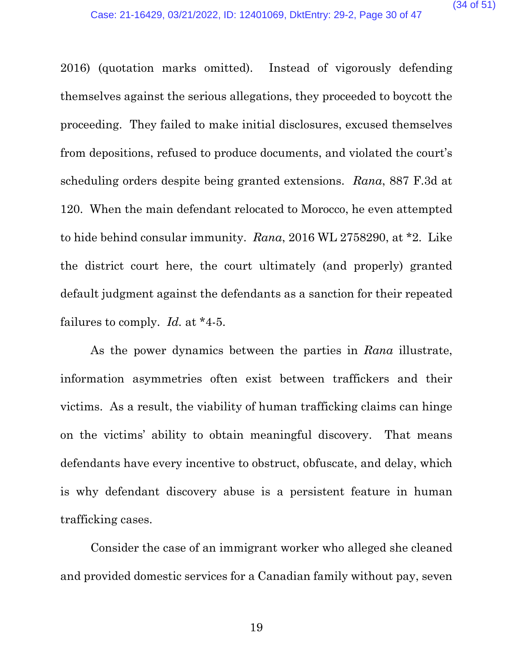2016) (quotation marks omitted). Instead of vigorously defending themselves against the serious allegations, they proceeded to boycott the proceeding. They failed to make initial disclosures, excused themselves from depositions, refused to produce documents, and violated the court's scheduling orders despite being granted extensions. *Rana*, 887 F.3d at 120. When the main defendant relocated to Morocco, he even attempted to hide behind consular immunity. *Rana*, 2016 WL 2758290, at \*2. Like the district court here, the court ultimately (and properly) granted default judgment against the defendants as a sanction for their repeated failures to comply. *Id.* at \*4-5.

As the power dynamics between the parties in *Rana* illustrate, information asymmetries often exist between traffickers and their victims. As a result, the viability of human trafficking claims can hinge on the victims' ability to obtain meaningful discovery. That means defendants have every incentive to obstruct, obfuscate, and delay, which is why defendant discovery abuse is a persistent feature in human trafficking cases.

Consider the case of an immigrant worker who alleged she cleaned and provided domestic services for a Canadian family without pay, seven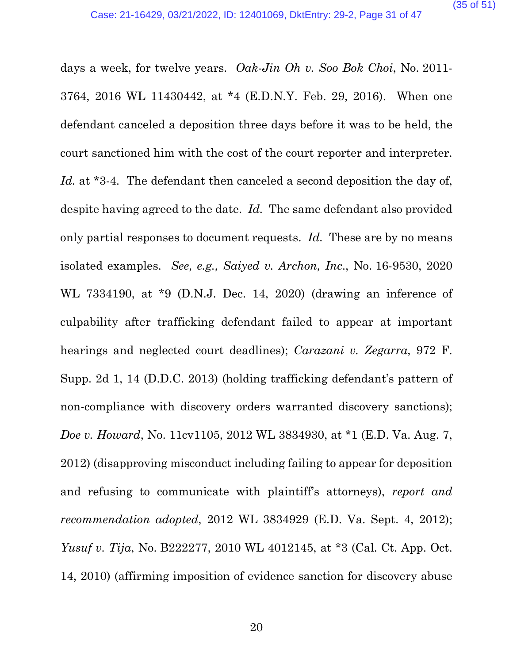days a week, for twelve years. *Oak-Jin Oh v. Soo Bok Choi*, No. 2011- 3764, 2016 WL 11430442, at \*4 (E.D.N.Y. Feb. 29, 2016). When one defendant canceled a deposition three days before it was to be held, the court sanctioned him with the cost of the court reporter and interpreter. Id. at \*3-4. The defendant then canceled a second deposition the day of, despite having agreed to the date. *Id.* The same defendant also provided only partial responses to document requests. *Id.* These are by no means isolated examples. *See, e.g., Saiyed v. Archon, Inc*., No. 16-9530, 2020 WL 7334190, at \*9 (D.N.J. Dec. 14, 2020) (drawing an inference of culpability after trafficking defendant failed to appear at important hearings and neglected court deadlines); *Carazani v. Zegarra*, 972 F. Supp. 2d 1, 14 (D.D.C. 2013) (holding trafficking defendant's pattern of non-compliance with discovery orders warranted discovery sanctions); *Doe v. Howard*, No. 11cv1105, 2012 WL 3834930, at \*1 (E.D. Va. Aug. 7, 2012) (disapproving misconduct including failing to appear for deposition and refusing to communicate with plaintiff's attorneys), *report and recommendation adopted*, 2012 WL 3834929 (E.D. Va. Sept. 4, 2012); *Yusuf v. Tija*, No. B222277, 2010 WL 4012145, at \*3 (Cal. Ct. App. Oct. 14, 2010) (affirming imposition of evidence sanction for discovery abuse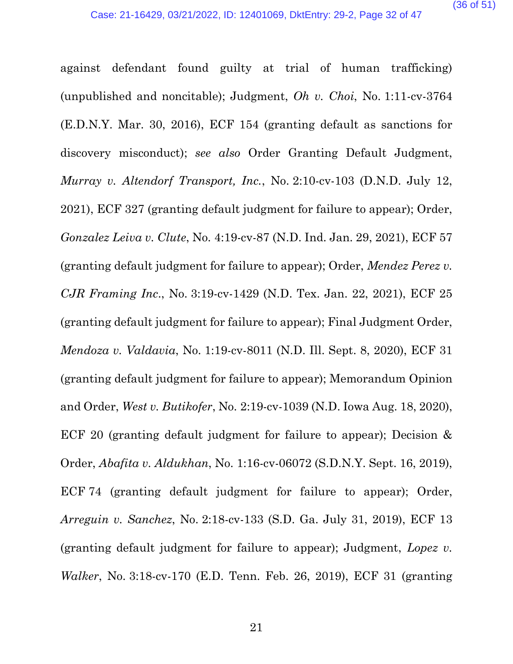against defendant found guilty at trial of human trafficking) (unpublished and noncitable); Judgment, *Oh v. Choi*, No. 1:11-cv-3764 (E.D.N.Y. Mar. 30, 2016), ECF 154 (granting default as sanctions for discovery misconduct); *see also* Order Granting Default Judgment, *Murray v. Altendorf Transport, Inc.*, No. 2:10-cv-103 (D.N.D. July 12, 2021), ECF 327 (granting default judgment for failure to appear); Order, *Gonzalez Leiva v. Clute*, No. 4:19-cv-87 (N.D. Ind. Jan. 29, 2021), ECF 57 (granting default judgment for failure to appear); Order, *Mendez Perez v. CJR Framing Inc*., No. 3:19-cv-1429 (N.D. Tex. Jan. 22, 2021), ECF 25 (granting default judgment for failure to appear); Final Judgment Order, *Mendoza v. Valdavia*, No. 1:19-cv-8011 (N.D. Ill. Sept. 8, 2020), ECF 31 (granting default judgment for failure to appear); Memorandum Opinion and Order, *West v. Butikofer*, No. 2:19-cv-1039 (N.D. Iowa Aug. 18, 2020), ECF 20 (granting default judgment for failure to appear); Decision & Order, *Abafita v. Aldukhan*, No. 1:16-cv-06072 (S.D.N.Y. Sept. 16, 2019), ECF 74 (granting default judgment for failure to appear); Order, *Arreguin v. Sanchez*, No. 2:18-cv-133 (S.D. Ga. July 31, 2019), ECF 13 (granting default judgment for failure to appear); Judgment, *Lopez v. Walker*, No. 3:18-cv-170 (E.D. Tenn. Feb. 26, 2019), ECF 31 (granting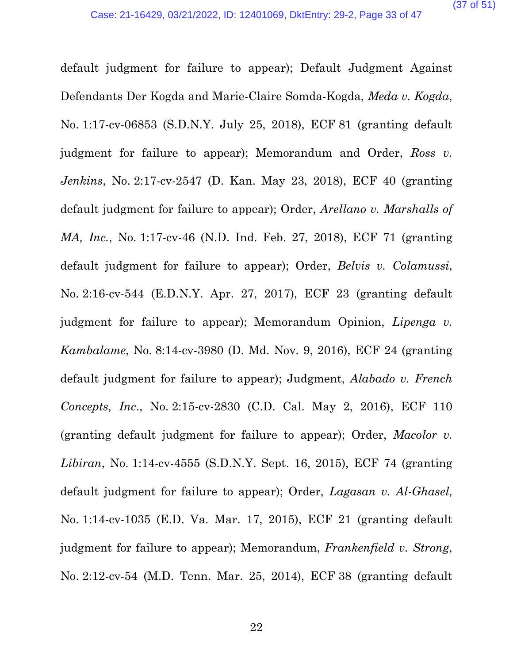default judgment for failure to appear); Default Judgment Against Defendants Der Kogda and Marie-Claire Somda-Kogda, *Meda v. Kogda*, No. 1:17-cv-06853 (S.D.N.Y. July 25, 2018), ECF 81 (granting default judgment for failure to appear); Memorandum and Order, *Ross v. Jenkins*, No. 2:17-cv-2547 (D. Kan. May 23, 2018), ECF 40 (granting default judgment for failure to appear); Order, *Arellano v. Marshalls of MA, Inc.*, No. 1:17-cv-46 (N.D. Ind. Feb. 27, 2018), ECF 71 (granting default judgment for failure to appear); Order, *Belvis v. Colamussi*, No. 2:16-cv-544 (E.D.N.Y. Apr. 27, 2017), ECF 23 (granting default judgment for failure to appear); Memorandum Opinion, *Lipenga v. Kambalame*, No. 8:14-cv-3980 (D. Md. Nov. 9, 2016), ECF 24 (granting default judgment for failure to appear); Judgment, *Alabado v. French Concepts, Inc*., No. 2:15-cv-2830 (C.D. Cal. May 2, 2016), ECF 110 (granting default judgment for failure to appear); Order, *Macolor v. Libiran*, No. 1:14-cv-4555 (S.D.N.Y. Sept. 16, 2015), ECF 74 (granting default judgment for failure to appear); Order, *Lagasan v. Al-Ghasel*, No. 1:14-cv-1035 (E.D. Va. Mar. 17, 2015), ECF 21 (granting default judgment for failure to appear); Memorandum, *Frankenfield v. Strong*, No. 2:12-cv-54 (M.D. Tenn. Mar. 25, 2014), ECF 38 (granting default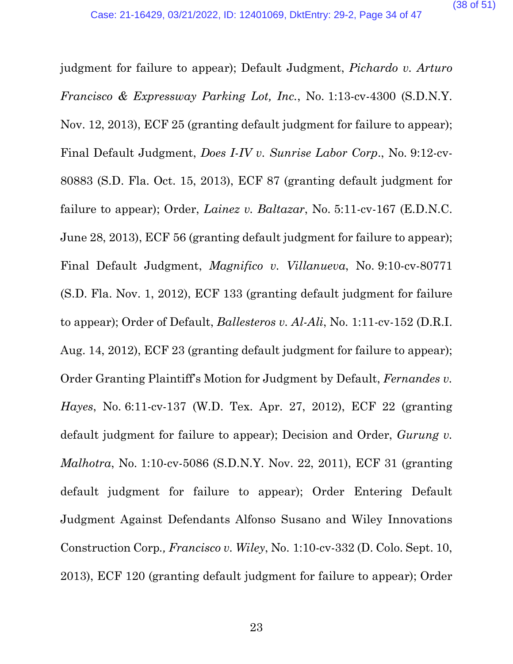judgment for failure to appear); Default Judgment, *Pichardo v. Arturo Francisco & Expressway Parking Lot, Inc.*, No. 1:13-cv-4300 (S.D.N.Y. Nov. 12, 2013), ECF 25 (granting default judgment for failure to appear); Final Default Judgment, *Does I-IV v. Sunrise Labor Corp*., No. 9:12-cv-80883 (S.D. Fla. Oct. 15, 2013), ECF 87 (granting default judgment for failure to appear); Order, *Lainez v. Baltazar*, No. 5:11-cv-167 (E.D.N.C. June 28, 2013), ECF 56 (granting default judgment for failure to appear); Final Default Judgment, *Magnifico v. Villanueva*, No. 9:10-cv-80771 (S.D. Fla. Nov. 1, 2012), ECF 133 (granting default judgment for failure to appear); Order of Default, *Ballesteros v. Al-Ali*, No. 1:11-cv-152 (D.R.I. Aug. 14, 2012), ECF 23 (granting default judgment for failure to appear); Order Granting Plaintiff's Motion for Judgment by Default, *Fernandes v. Hayes*, No. 6:11-cv-137 (W.D. Tex. Apr. 27, 2012), ECF 22 (granting default judgment for failure to appear); Decision and Order, *Gurung v. Malhotra*, No. 1:10-cv-5086 (S.D.N.Y. Nov. 22, 2011), ECF 31 (granting default judgment for failure to appear); Order Entering Default Judgment Against Defendants Alfonso Susano and Wiley Innovations Construction Corp*., Francisco v. Wiley*, No. 1:10-cv-332 (D. Colo. Sept. 10, 2013), ECF 120 (granting default judgment for failure to appear); Order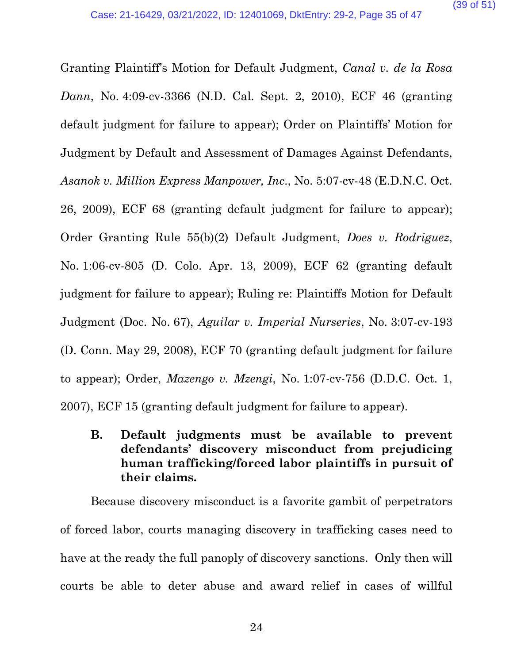Granting Plaintiff's Motion for Default Judgment, *Canal v. de la Rosa Dann*, No. 4:09-cv-3366 (N.D. Cal. Sept. 2, 2010), ECF 46 (granting default judgment for failure to appear); Order on Plaintiffs' Motion for Judgment by Default and Assessment of Damages Against Defendants, *Asanok v. Million Express Manpower, Inc*., No. 5:07-cv-48 (E.D.N.C. Oct. 26, 2009), ECF 68 (granting default judgment for failure to appear); Order Granting Rule 55(b)(2) Default Judgment, *Does v. Rodriguez*, No. 1:06-cv-805 (D. Colo. Apr. 13, 2009), ECF 62 (granting default judgment for failure to appear); Ruling re: Plaintiffs Motion for Default Judgment (Doc. No. 67), *Aguilar v. Imperial Nurseries*, No. 3:07-cv-193 (D. Conn. May 29, 2008), ECF 70 (granting default judgment for failure to appear); Order, *Mazengo v. Mzengi*, No. 1:07-cv-756 (D.D.C. Oct. 1, 2007), ECF 15 (granting default judgment for failure to appear).

**B. Default judgments must be available to prevent defendants' discovery misconduct from prejudicing human trafficking/forced labor plaintiffs in pursuit of their claims.**

Because discovery misconduct is a favorite gambit of perpetrators of forced labor, courts managing discovery in trafficking cases need to have at the ready the full panoply of discovery sanctions. Only then will courts be able to deter abuse and award relief in cases of willful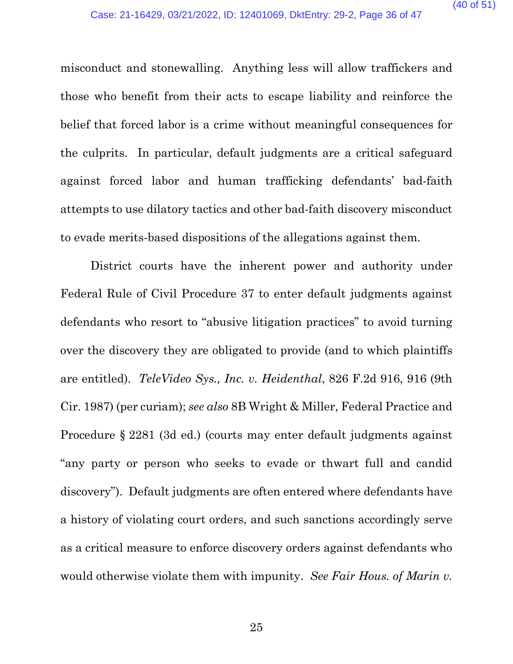misconduct and stonewalling. Anything less will allow traffickers and those who benefit from their acts to escape liability and reinforce the belief that forced labor is a crime without meaningful consequences for the culprits. In particular, default judgments are a critical safeguard against forced labor and human trafficking defendants' bad-faith attempts to use dilatory tactics and other bad-faith discovery misconduct to evade merits-based dispositions of the allegations against them.

District courts have the inherent power and authority under Federal Rule of Civil Procedure 37 to enter default judgments against defendants who resort to "abusive litigation practices" to avoid turning over the discovery they are obligated to provide (and to which plaintiffs are entitled). *TeleVideo Sys., Inc. v. Heidenthal*, 826 F.2d 916, 916 (9th Cir. 1987) (per curiam); *see also* 8B Wright & Miller, Federal Practice and Procedure § 2281 (3d ed.) (courts may enter default judgments against "any party or person who seeks to evade or thwart full and candid discovery"). Default judgments are often entered where defendants have a history of violating court orders, and such sanctions accordingly serve as a critical measure to enforce discovery orders against defendants who would otherwise violate them with impunity. *See Fair Hous. of Marin v.*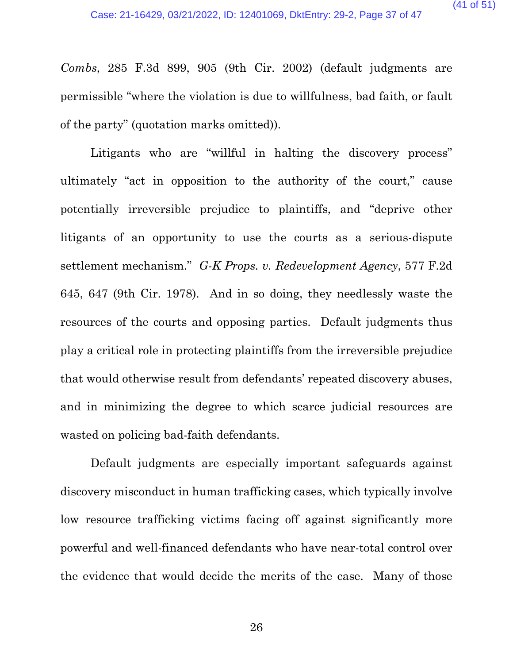*Combs*, 285 F.3d 899, 905 (9th Cir. 2002) (default judgments are permissible "where the violation is due to willfulness, bad faith, or fault of the party" (quotation marks omitted)).

Litigants who are "willful in halting the discovery process" ultimately "act in opposition to the authority of the court," cause potentially irreversible prejudice to plaintiffs, and "deprive other litigants of an opportunity to use the courts as a serious-dispute settlement mechanism." *G-K Props. v. Redevelopment Agency*, 577 F.2d 645, 647 (9th Cir. 1978). And in so doing, they needlessly waste the resources of the courts and opposing parties. Default judgments thus play a critical role in protecting plaintiffs from the irreversible prejudice that would otherwise result from defendants' repeated discovery abuses, and in minimizing the degree to which scarce judicial resources are wasted on policing bad-faith defendants.

Default judgments are especially important safeguards against discovery misconduct in human trafficking cases, which typically involve low resource trafficking victims facing off against significantly more powerful and well-financed defendants who have near-total control over the evidence that would decide the merits of the case. Many of those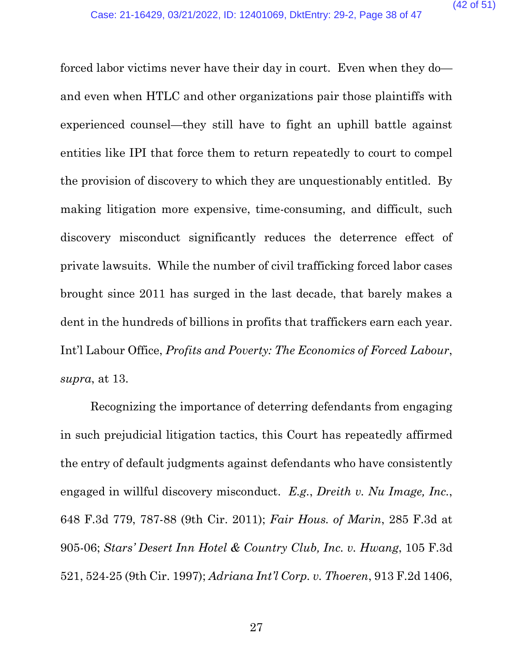forced labor victims never have their day in court. Even when they do and even when HTLC and other organizations pair those plaintiffs with experienced counsel—they still have to fight an uphill battle against entities like IPI that force them to return repeatedly to court to compel the provision of discovery to which they are unquestionably entitled. By making litigation more expensive, time-consuming, and difficult, such discovery misconduct significantly reduces the deterrence effect of private lawsuits. While the number of civil trafficking forced labor cases brought since 2011 has surged in the last decade, that barely makes a dent in the hundreds of billions in profits that traffickers earn each year. Int'l Labour Office, *Profits and Poverty: The Economics of Forced Labour*, *supra*, at 13.

Recognizing the importance of deterring defendants from engaging in such prejudicial litigation tactics, this Court has repeatedly affirmed the entry of default judgments against defendants who have consistently engaged in willful discovery misconduct. *E.g.*, *Dreith v. Nu Image, Inc.*, 648 F.3d 779, 787-88 (9th Cir. 2011); *Fair Hous. of Marin*, 285 F.3d at 905-06; *Stars' Desert Inn Hotel & Country Club, Inc. v. Hwang*, 105 F.3d 521, 524-25 (9th Cir. 1997); *Adriana Int'l Corp. v. Thoeren*, 913 F.2d 1406,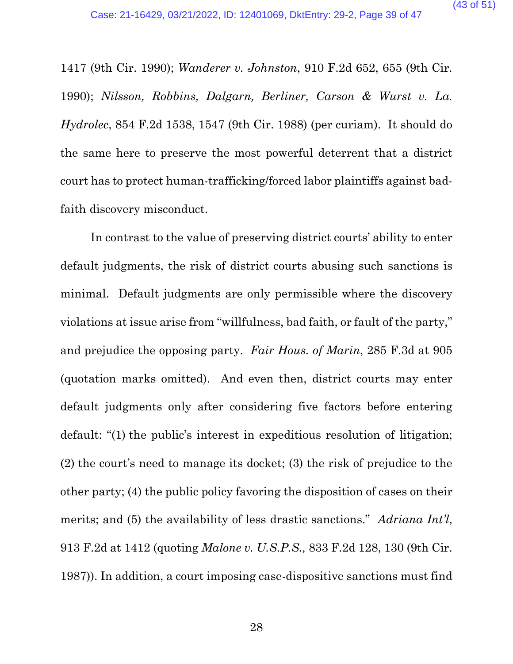1417 (9th Cir. 1990); *Wanderer v. Johnston*, 910 F.2d 652, 655 (9th Cir. 1990); *Nilsson, Robbins, Dalgarn, Berliner, Carson & Wurst v. La. Hydrolec*, 854 F.2d 1538, 1547 (9th Cir. 1988) (per curiam). It should do the same here to preserve the most powerful deterrent that a district court has to protect human-trafficking/forced labor plaintiffs against badfaith discovery misconduct.

In contrast to the value of preserving district courts' ability to enter default judgments, the risk of district courts abusing such sanctions is minimal. Default judgments are only permissible where the discovery violations at issue arise from "willfulness, bad faith, or fault of the party," and prejudice the opposing party. *Fair Hous. of Marin*, 285 F.3d at 905 (quotation marks omitted). And even then, district courts may enter default judgments only after considering five factors before entering default: "(1) the public's interest in expeditious resolution of litigation; (2) the court's need to manage its docket; (3) the risk of prejudice to the other party; (4) the public policy favoring the disposition of cases on their merits; and (5) the availability of less drastic sanctions." *Adriana Int'l*, 913 F.2d at 1412 (quoting *Malone v. U.S.P.S.,* 833 F.2d 128, 130 (9th Cir. 1987)). In addition, a court imposing case-dispositive sanctions must find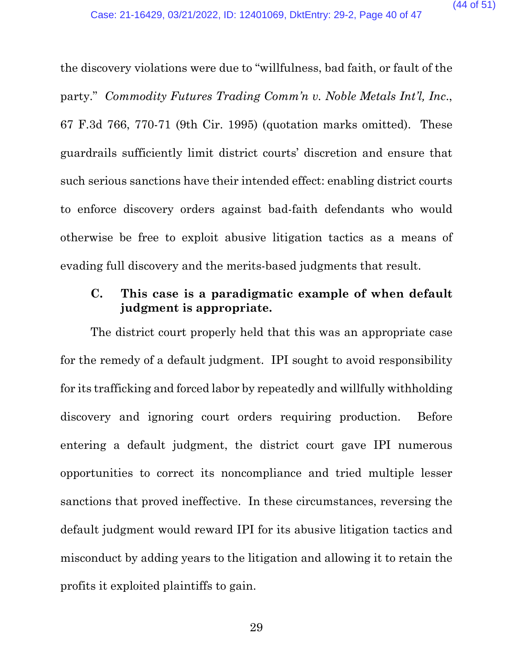the discovery violations were due to "willfulness, bad faith, or fault of the party." *Commodity Futures Trading Comm'n v. Noble Metals Int'l, Inc*., 67 F.3d 766, 770-71 (9th Cir. 1995) (quotation marks omitted). These guardrails sufficiently limit district courts' discretion and ensure that such serious sanctions have their intended effect: enabling district courts to enforce discovery orders against bad-faith defendants who would otherwise be free to exploit abusive litigation tactics as a means of evading full discovery and the merits-based judgments that result.

## **C. This case is a paradigmatic example of when default judgment is appropriate.**

The district court properly held that this was an appropriate case for the remedy of a default judgment. IPI sought to avoid responsibility for its trafficking and forced labor by repeatedly and willfully withholding discovery and ignoring court orders requiring production. Before entering a default judgment, the district court gave IPI numerous opportunities to correct its noncompliance and tried multiple lesser sanctions that proved ineffective. In these circumstances, reversing the default judgment would reward IPI for its abusive litigation tactics and misconduct by adding years to the litigation and allowing it to retain the profits it exploited plaintiffs to gain.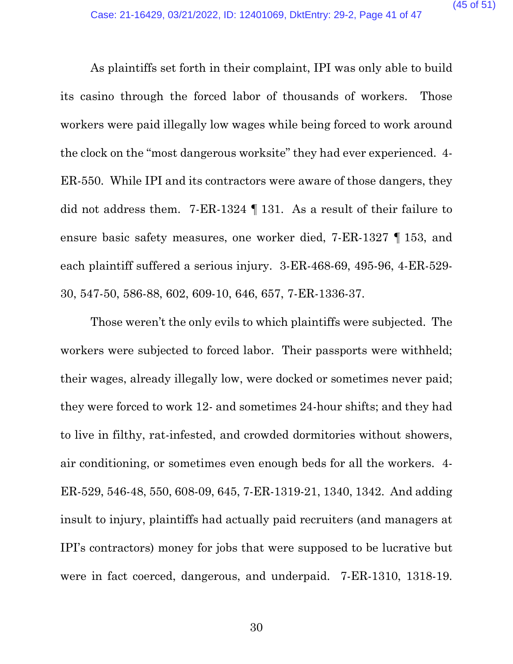As plaintiffs set forth in their complaint, IPI was only able to build its casino through the forced labor of thousands of workers. Those workers were paid illegally low wages while being forced to work around the clock on the "most dangerous worksite" they had ever experienced. 4- ER-550. While IPI and its contractors were aware of those dangers, they did not address them. 7-ER-1324 ¶ 131. As a result of their failure to ensure basic safety measures, one worker died, 7-ER-1327 ¶ 153, and each plaintiff suffered a serious injury. 3-ER-468-69, 495-96, 4-ER-529- 30, 547-50, 586-88, 602, 609-10, 646, 657, 7-ER-1336-37.

Those weren't the only evils to which plaintiffs were subjected. The workers were subjected to forced labor. Their passports were withheld; their wages, already illegally low, were docked or sometimes never paid; they were forced to work 12- and sometimes 24-hour shifts; and they had to live in filthy, rat-infested, and crowded dormitories without showers, air conditioning, or sometimes even enough beds for all the workers. 4- ER-529, 546-48, 550, 608-09, 645, 7-ER-1319-21, 1340, 1342. And adding insult to injury, plaintiffs had actually paid recruiters (and managers at IPI's contractors) money for jobs that were supposed to be lucrative but were in fact coerced, dangerous, and underpaid. 7-ER-1310, 1318-19.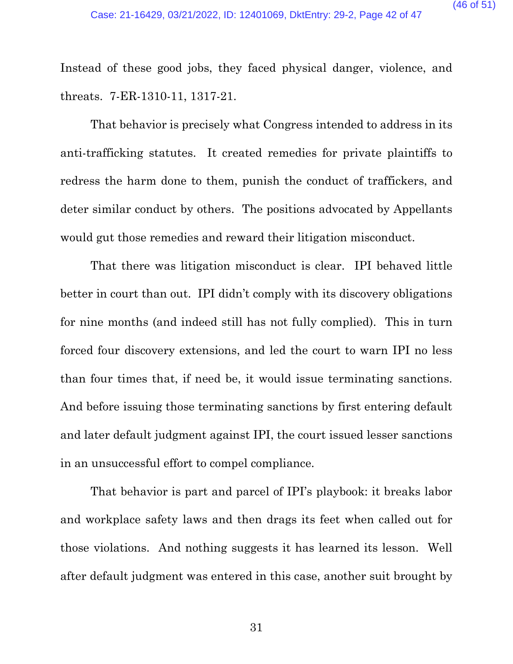Instead of these good jobs, they faced physical danger, violence, and threats. 7-ER-1310-11, 1317-21.

That behavior is precisely what Congress intended to address in its anti-trafficking statutes. It created remedies for private plaintiffs to redress the harm done to them, punish the conduct of traffickers, and deter similar conduct by others. The positions advocated by Appellants would gut those remedies and reward their litigation misconduct.

That there was litigation misconduct is clear. IPI behaved little better in court than out. IPI didn't comply with its discovery obligations for nine months (and indeed still has not fully complied). This in turn forced four discovery extensions, and led the court to warn IPI no less than four times that, if need be, it would issue terminating sanctions. And before issuing those terminating sanctions by first entering default and later default judgment against IPI, the court issued lesser sanctions in an unsuccessful effort to compel compliance.

That behavior is part and parcel of IPI's playbook: it breaks labor and workplace safety laws and then drags its feet when called out for those violations. And nothing suggests it has learned its lesson. Well after default judgment was entered in this case, another suit brought by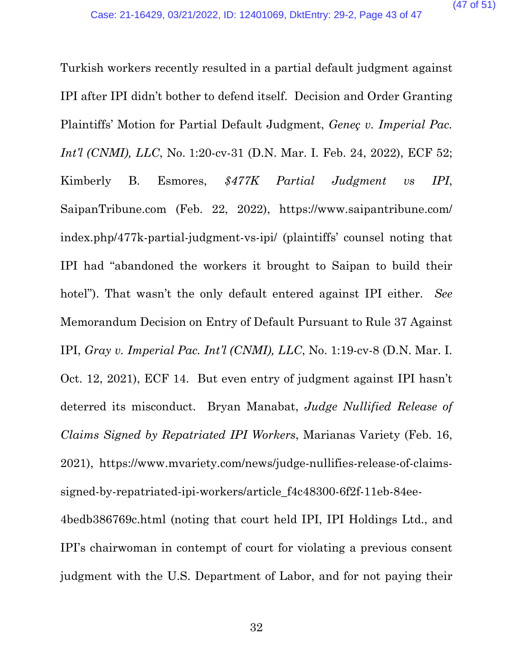Turkish workers recently resulted in a partial default judgment against IPI after IPI didn't bother to defend itself. Decision and Order Granting Plaintiffs' Motion for Partial Default Judgment, *Geneç v. Imperial Pac. Int'l (CNMI), LLC*, No. 1:20-cv-31 (D.N. Mar. I. Feb. 24, 2022), ECF 52; Kimberly B. Esmores, *\$477K Partial Judgment vs IPI*, SaipanTribune.com (Feb. 22, 2022), [https://www.saipantribune.com/](https://www.saipantribune.com/index.php/477k-partial-judgment-vs-ipi/) [index.php/477k-partial-judgment-vs-ipi/](https://www.saipantribune.com/index.php/477k-partial-judgment-vs-ipi/) (plaintiffs' counsel noting that IPI had "abandoned the workers it brought to Saipan to build their hotel"). That wasn't the only default entered against IPI either. *See* Memorandum Decision on Entry of Default Pursuant to Rule 37 Against IPI, *Gray v. Imperial Pac. Int'l (CNMI), LLC*, No. 1:19-cv-8 (D.N. Mar. I. Oct. 12, 2021), ECF 14. But even entry of judgment against IPI hasn't deterred its misconduct. Bryan Manabat, *Judge Nullified Release of Claims Signed by Repatriated IPI Workers*, Marianas Variety (Feb. 16, 2021), [https://www.mvariety.com/news/judge-nullifies-release-of-claims](https://www.mvariety.com/news/judge-nullifies-release-of-claims-signed-by-repatriated-ipi-workers/article_f4c48300-6f2f-11eb-84ee-4bedb386769c.html)[signed-by-repatriated-ipi-workers/article\\_f4c48300-6f2f-11eb-84ee-](https://www.mvariety.com/news/judge-nullifies-release-of-claims-signed-by-repatriated-ipi-workers/article_f4c48300-6f2f-11eb-84ee-4bedb386769c.html)[4bedb386769c.html](https://www.mvariety.com/news/judge-nullifies-release-of-claims-signed-by-repatriated-ipi-workers/article_f4c48300-6f2f-11eb-84ee-4bedb386769c.html) (noting that court held IPI, IPI Holdings Ltd., and IPI's chairwoman in contempt of court for violating a previous consent

judgment with the U.S. Department of Labor, and for not paying their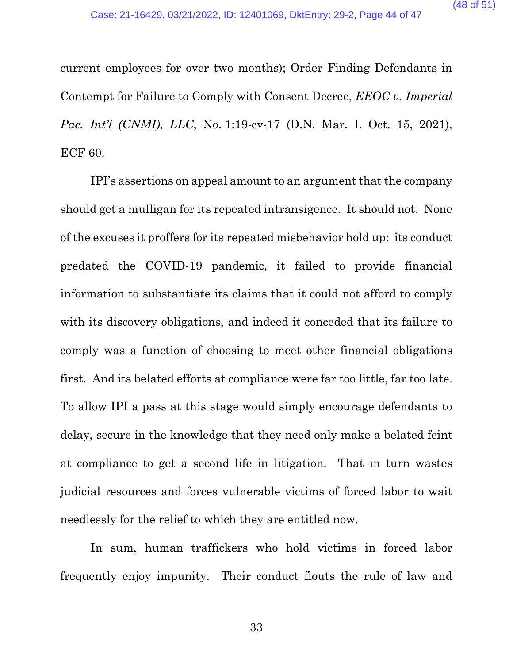current employees for over two months); Order Finding Defendants in Contempt for Failure to Comply with Consent Decree, *EEOC v. Imperial Pac. Int'l (CNMI), LLC, No.* 1:19-cv-17 (D.N. Mar. I. Oct. 15, 2021), ECF 60.

IPI's assertions on appeal amount to an argument that the company should get a mulligan for its repeated intransigence. It should not. None of the excuses it proffers for its repeated misbehavior hold up: its conduct predated the COVID-19 pandemic, it failed to provide financial information to substantiate its claims that it could not afford to comply with its discovery obligations, and indeed it conceded that its failure to comply was a function of choosing to meet other financial obligations first. And its belated efforts at compliance were far too little, far too late. To allow IPI a pass at this stage would simply encourage defendants to delay, secure in the knowledge that they need only make a belated feint at compliance to get a second life in litigation. That in turn wastes judicial resources and forces vulnerable victims of forced labor to wait needlessly for the relief to which they are entitled now.

In sum, human traffickers who hold victims in forced labor frequently enjoy impunity. Their conduct flouts the rule of law and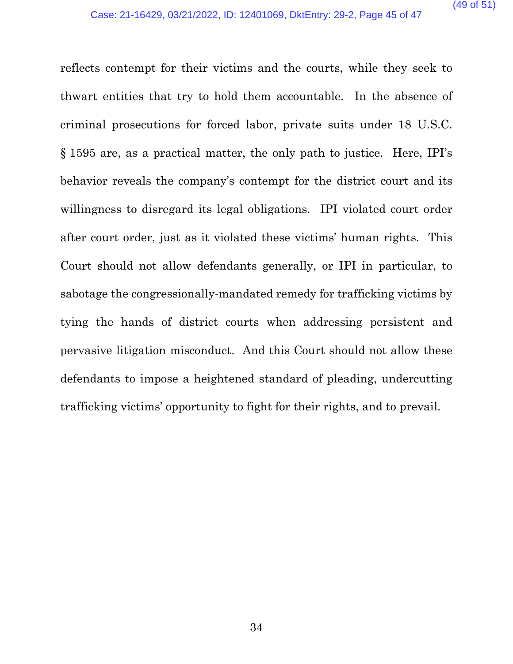reflects contempt for their victims and the courts, while they seek to thwart entities that try to hold them accountable. In the absence of criminal prosecutions for forced labor, private suits under 18 U.S.C. § 1595 are, as a practical matter, the only path to justice. Here, IPI's behavior reveals the company's contempt for the district court and its willingness to disregard its legal obligations. IPI violated court order after court order, just as it violated these victims' human rights. This Court should not allow defendants generally, or IPI in particular, to sabotage the congressionally-mandated remedy for trafficking victims by tying the hands of district courts when addressing persistent and pervasive litigation misconduct. And this Court should not allow these defendants to impose a heightened standard of pleading, undercutting trafficking victims' opportunity to fight for their rights, and to prevail.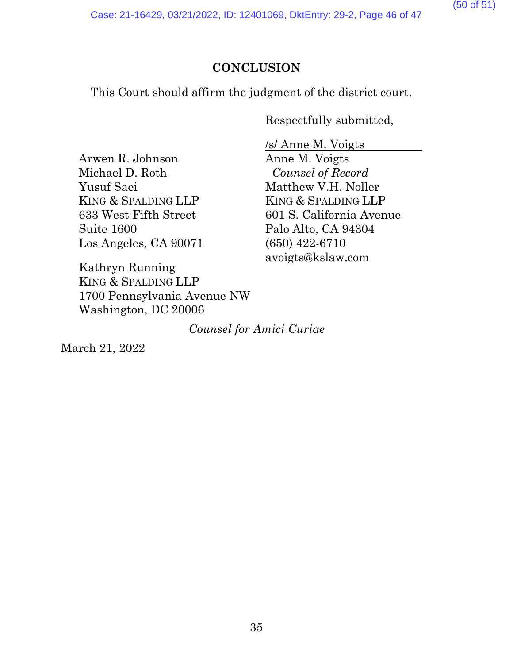(50 of 51)

Case: 21-16429, 03/21/2022, ID: 12401069, DktEntry: 29-2, Page 46 of 47

# **CONCLUSION**

This Court should affirm the judgment of the district court.

Respectfully submitted,

Arwen R. Johnson Michael D. Roth Yusuf Saei KING & SPALDING LLP 633 West Fifth Street Suite 1600 Los Angeles, CA 90071

Kathryn Running KING & SPALDING LLP 1700 Pennsylvania Avenue NW Washington, DC 20006

/s/ Anne M. Voigts Anne M. Voigts *Counsel of Record* Matthew V.H. Noller KING & SPALDING LLP 601 S. California Avenue Palo Alto, CA 94304 (650) 422-6710 avoigts@kslaw.com

*Counsel for Amici Curiae*

March 21, 2022